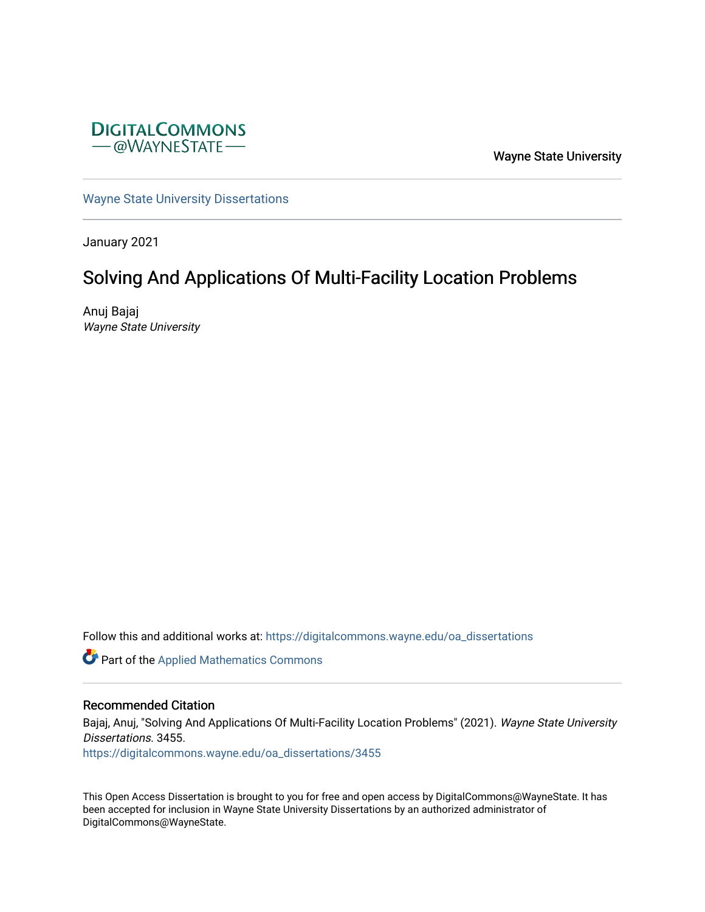

Wayne State University

[Wayne State University Dissertations](https://digitalcommons.wayne.edu/oa_dissertations) 

January 2021

# Solving And Applications Of Multi-Facility Location Problems

Anuj Bajaj Wayne State University

Follow this and additional works at: [https://digitalcommons.wayne.edu/oa\\_dissertations](https://digitalcommons.wayne.edu/oa_dissertations?utm_source=digitalcommons.wayne.edu%2Foa_dissertations%2F3455&utm_medium=PDF&utm_campaign=PDFCoverPages)

Part of the [Applied Mathematics Commons](http://network.bepress.com/hgg/discipline/115?utm_source=digitalcommons.wayne.edu%2Foa_dissertations%2F3455&utm_medium=PDF&utm_campaign=PDFCoverPages)

#### Recommended Citation

Bajaj, Anuj, "Solving And Applications Of Multi-Facility Location Problems" (2021). Wayne State University Dissertations. 3455.

[https://digitalcommons.wayne.edu/oa\\_dissertations/3455](https://digitalcommons.wayne.edu/oa_dissertations/3455?utm_source=digitalcommons.wayne.edu%2Foa_dissertations%2F3455&utm_medium=PDF&utm_campaign=PDFCoverPages) 

This Open Access Dissertation is brought to you for free and open access by DigitalCommons@WayneState. It has been accepted for inclusion in Wayne State University Dissertations by an authorized administrator of DigitalCommons@WayneState.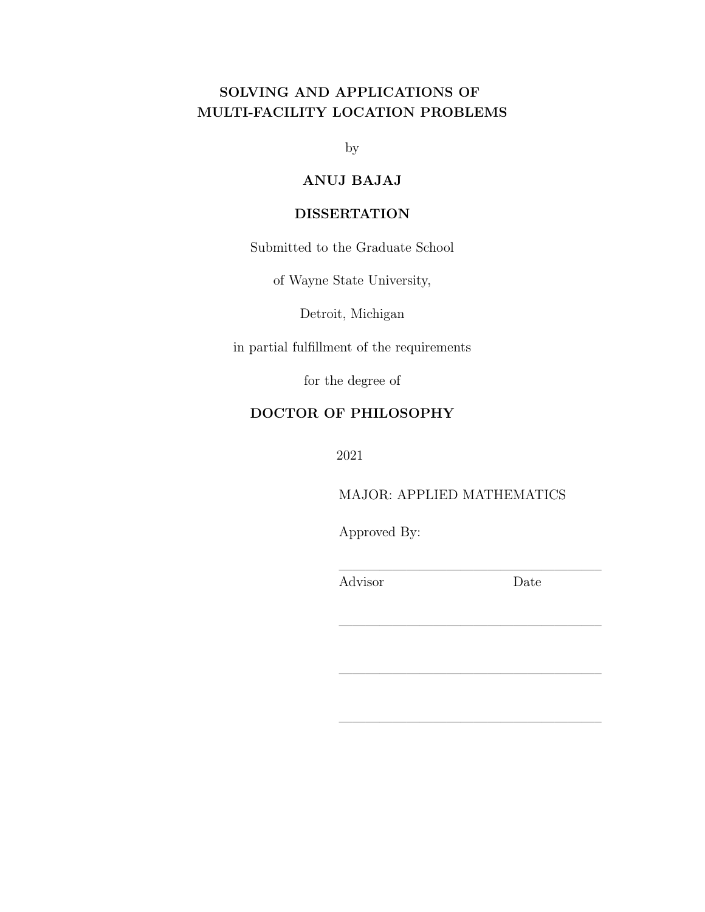# SOLVING AND APPLICATIONS OF MULTI-FACILITY LOCATION PROBLEMS

by

## ANUJ BAJAJ

### DISSERTATION

Submitted to the Graduate School

of Wayne State University,

Detroit, Michigan

in partial fulfillment of the requirements

for the degree of

# DOCTOR OF PHILOSOPHY

2021

MAJOR: APPLIED MATHEMATICS

———————————————————–

———————————————————–

———————————————————–

Approved By:

———————————————————– Advisor Date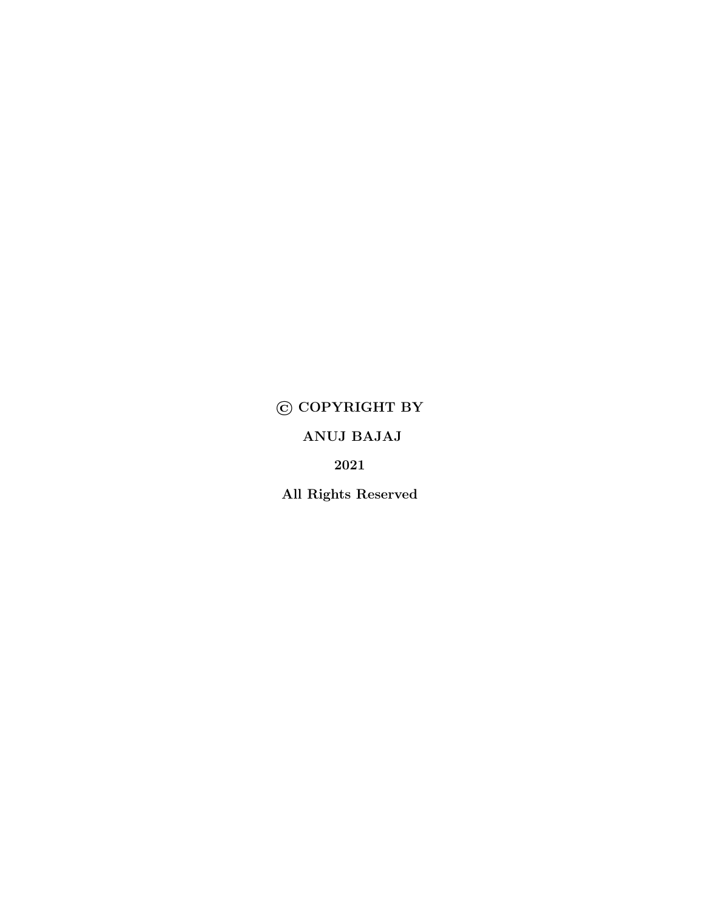# © COPYRIGHT BY

ANUJ BAJAJ

2021

All Rights Reserved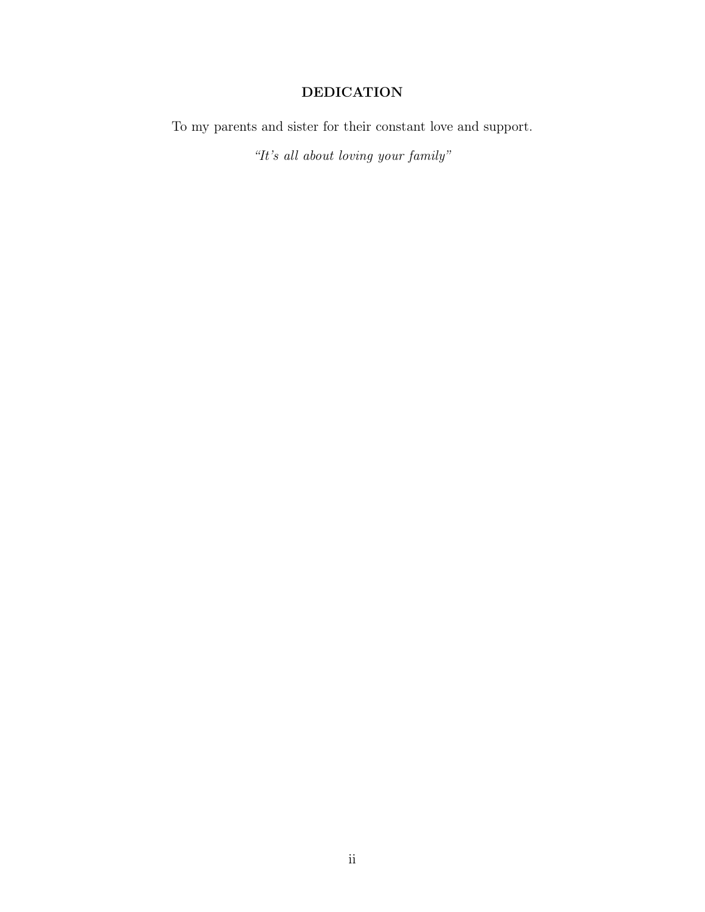# DEDICATION

To my parents and sister for their constant love and support.

"It's all about loving your family"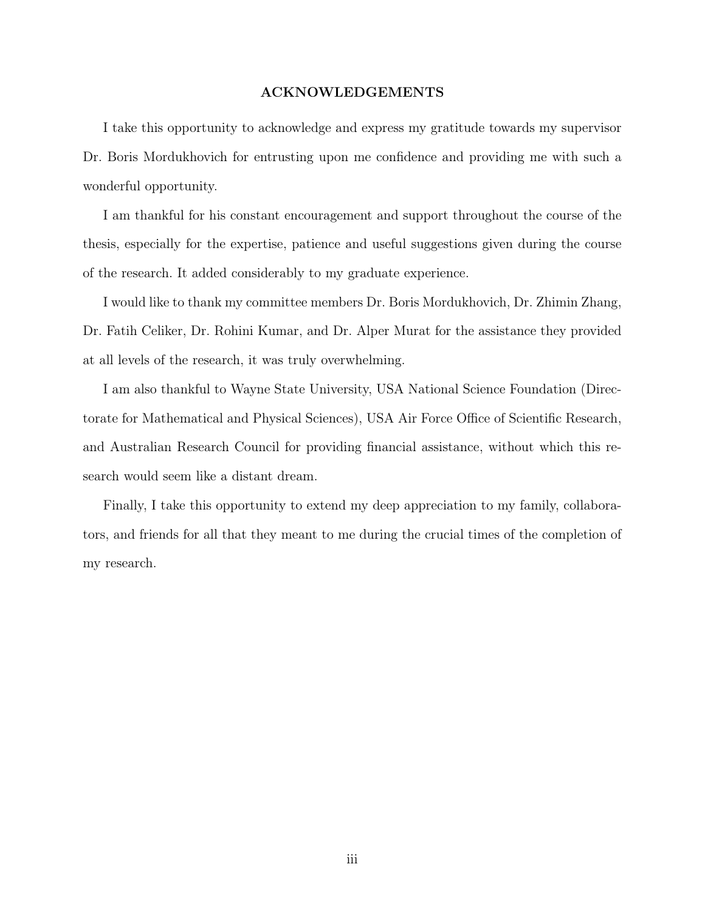#### ACKNOWLEDGEMENTS

I take this opportunity to acknowledge and express my gratitude towards my supervisor Dr. Boris Mordukhovich for entrusting upon me confidence and providing me with such a wonderful opportunity.

I am thankful for his constant encouragement and support throughout the course of the thesis, especially for the expertise, patience and useful suggestions given during the course of the research. It added considerably to my graduate experience.

I would like to thank my committee members Dr. Boris Mordukhovich, Dr. Zhimin Zhang, Dr. Fatih Celiker, Dr. Rohini Kumar, and Dr. Alper Murat for the assistance they provided at all levels of the research, it was truly overwhelming.

I am also thankful to Wayne State University, USA National Science Foundation (Directorate for Mathematical and Physical Sciences), USA Air Force Office of Scientific Research, and Australian Research Council for providing financial assistance, without which this research would seem like a distant dream.

Finally, I take this opportunity to extend my deep appreciation to my family, collaborators, and friends for all that they meant to me during the crucial times of the completion of my research.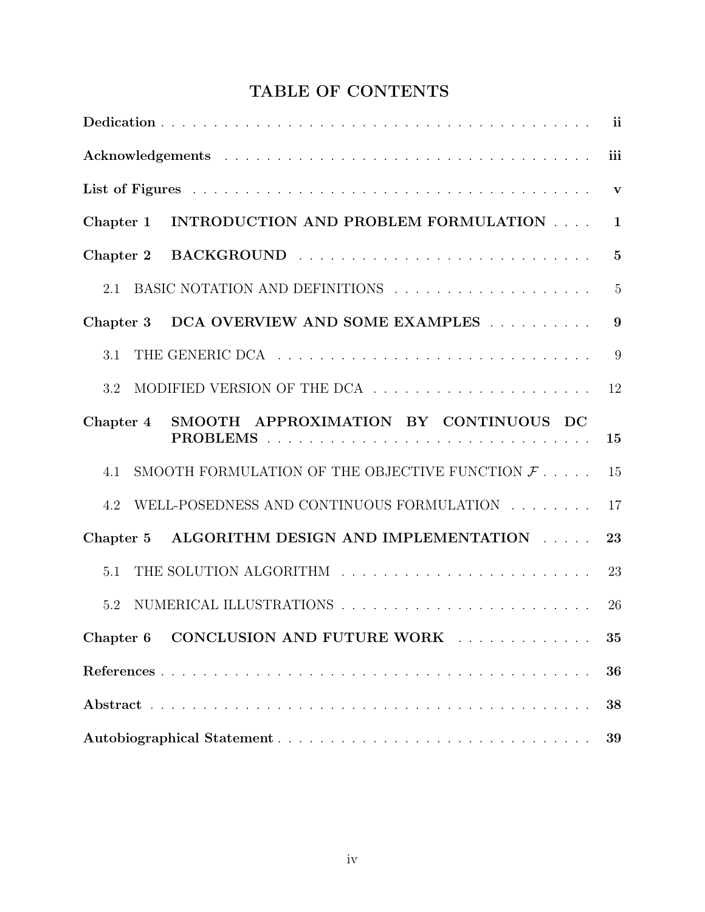# TABLE OF CONTENTS

|                                                                   | ii             |
|-------------------------------------------------------------------|----------------|
|                                                                   | iii            |
|                                                                   | $\mathbf{v}$   |
| INTRODUCTION AND PROBLEM FORMULATION<br>Chapter 1                 | $\mathbf{1}$   |
| Chapter 2                                                         | $\overline{5}$ |
| 2.1                                                               | $\overline{5}$ |
| DCA OVERVIEW AND SOME EXAMPLES<br>Chapter 3                       | 9              |
| 3.1                                                               | 9              |
| 3.2                                                               | 12             |
| SMOOTH APPROXIMATION BY CONTINUOUS DC<br>Chapter 4                | 15             |
| SMOOTH FORMULATION OF THE OBJECTIVE FUNCTION $\mathcal{F}$<br>4.1 | 15             |
| WELL-POSEDNESS AND CONTINUOUS FORMULATION<br>4.2                  | 17             |
| ALGORITHM DESIGN AND IMPLEMENTATION<br>Chapter 5                  | 23             |
| 5.1                                                               | 23             |
| 5.2                                                               | 26             |
| CONCLUSION AND FUTURE WORK<br>Chapter 6                           | 35             |
|                                                                   | 36             |
|                                                                   | 38             |
|                                                                   | 39             |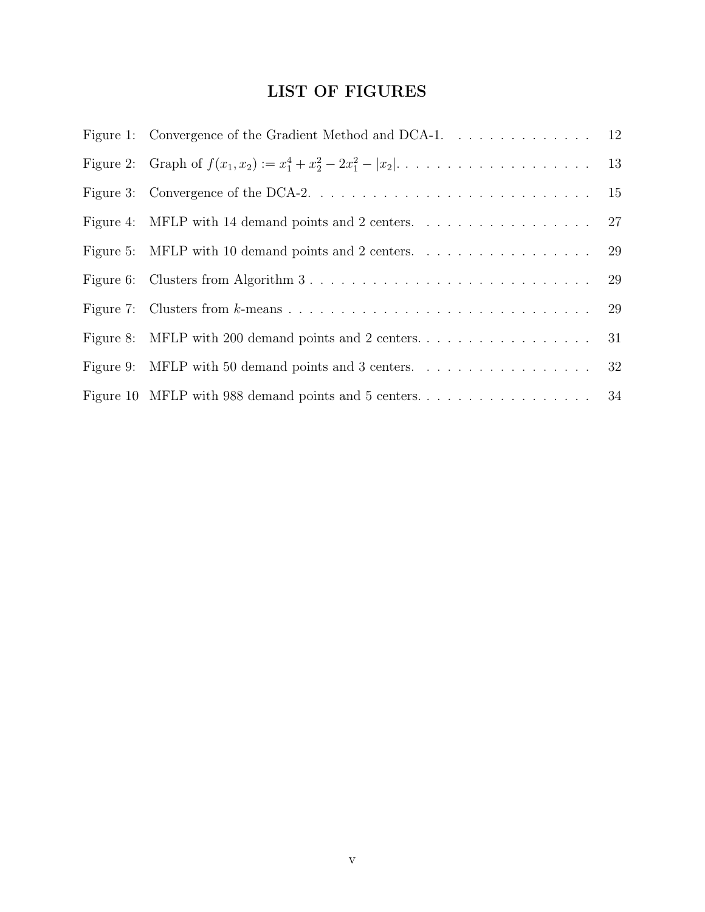# LIST OF FIGURES

| Figure 1: Convergence of the Gradient Method and DCA-1. 12                                              |    |
|---------------------------------------------------------------------------------------------------------|----|
| Figure 2: Graph of $f(x_1, x_2) := x_1^4 + x_2^2 - 2x_1^2 -  x_2  + \cdots + \cdots + \cdots$ 13        |    |
|                                                                                                         |    |
| Figure 4: MFLP with 14 demand points and 2 centers. $\dots \dots \dots \dots \dots \dots \dots$ 27      |    |
| Figure 5: MFLP with 10 demand points and 2 centers. $\dots \dots \dots \dots \dots \dots \dots$ 29      |    |
| Figure 6: Clusters from Algorithm $3 \ldots \ldots \ldots \ldots \ldots \ldots \ldots \ldots \ldots 29$ |    |
|                                                                                                         |    |
|                                                                                                         | 31 |
| Figure 9: MFLP with 50 demand points and 3 centers. $\dots \dots \dots \dots \dots \dots \dots$ 32      |    |
|                                                                                                         |    |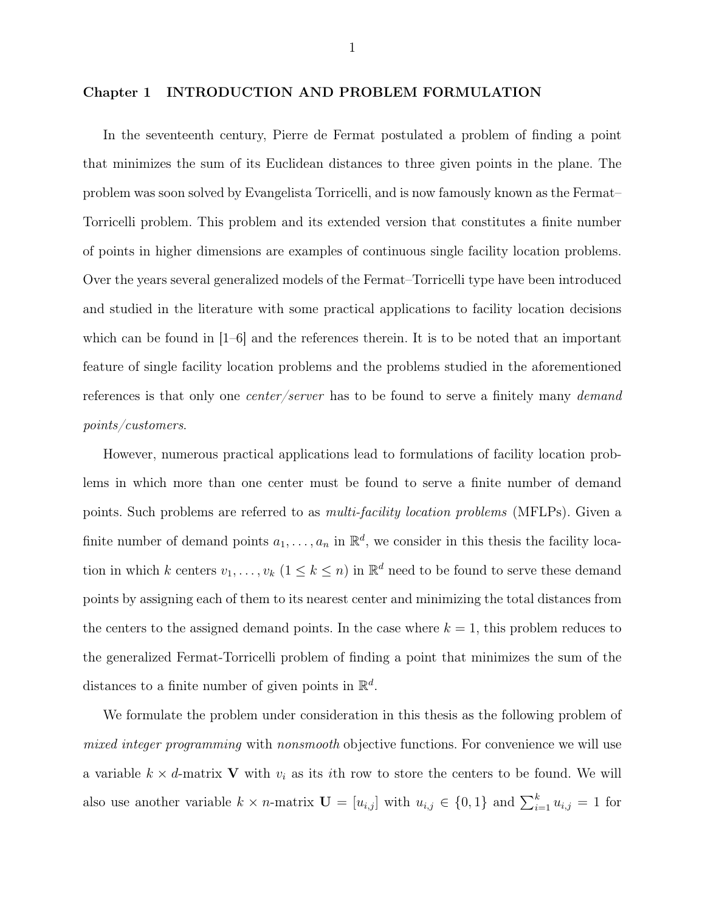#### Chapter 1 INTRODUCTION AND PROBLEM FORMULATION

In the seventeenth century, Pierre de Fermat postulated a problem of finding a point that minimizes the sum of its Euclidean distances to three given points in the plane. The problem was soon solved by Evangelista Torricelli, and is now famously known as the Fermat– Torricelli problem. This problem and its extended version that constitutes a finite number of points in higher dimensions are examples of continuous single facility location problems. Over the years several generalized models of the Fermat–Torricelli type have been introduced and studied in the literature with some practical applications to facility location decisions which can be found in  $|1-6|$  and the references therein. It is to be noted that an important feature of single facility location problems and the problems studied in the aforementioned references is that only one *center/server* has to be found to serve a finitely many *demand* points/customers.

However, numerous practical applications lead to formulations of facility location problems in which more than one center must be found to serve a finite number of demand points. Such problems are referred to as multi-facility location problems (MFLPs). Given a finite number of demand points  $a_1, \ldots, a_n$  in  $\mathbb{R}^d$ , we consider in this thesis the facility location in which k centers  $v_1, \ldots, v_k$   $(1 \leq k \leq n)$  in  $\mathbb{R}^d$  need to be found to serve these demand points by assigning each of them to its nearest center and minimizing the total distances from the centers to the assigned demand points. In the case where  $k = 1$ , this problem reduces to the generalized Fermat-Torricelli problem of finding a point that minimizes the sum of the distances to a finite number of given points in  $\mathbb{R}^d$ .

We formulate the problem under consideration in this thesis as the following problem of mixed integer programming with nonsmooth objective functions. For convenience we will use a variable  $k \times d$ -matrix **V** with  $v_i$  as its *i*th row to store the centers to be found. We will also use another variable  $k \times n$ -matrix  $\mathbf{U} = [u_{i,j}]$  with  $u_{i,j} \in \{0,1\}$  and  $\sum_{i=1}^{k} u_{i,j} = 1$  for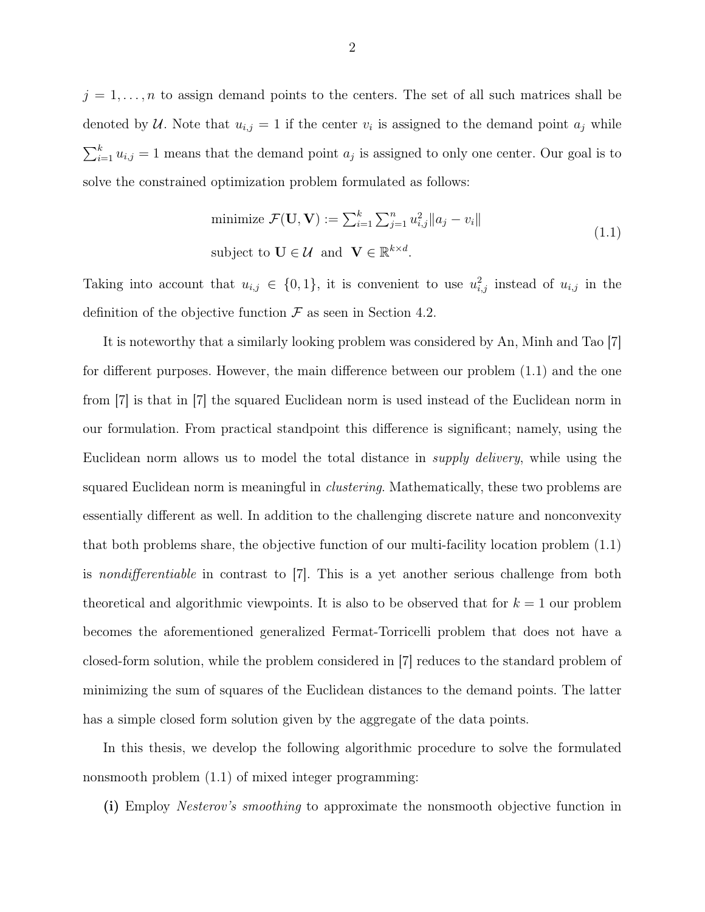$j = 1, \ldots, n$  to assign demand points to the centers. The set of all such matrices shall be denoted by U. Note that  $u_{i,j} = 1$  if the center  $v_i$  is assigned to the demand point  $a_j$  while  $\sum_{i=1}^{k} u_{i,j} = 1$  means that the demand point  $a_j$  is assigned to only one center. Our goal is to solve the constrained optimization problem formulated as follows:

minimize 
$$
\mathcal{F}(\mathbf{U}, \mathbf{V}) := \sum_{i=1}^{k} \sum_{j=1}^{n} u_{i,j}^2 ||a_j - v_i||
$$
  
subject to  $\mathbf{U} \in \mathcal{U}$  and  $\mathbf{V} \in \mathbb{R}^{k \times d}$ .  $(1.1)$ 

Taking into account that  $u_{i,j} \in \{0,1\}$ , it is convenient to use  $u_{i,j}^2$  instead of  $u_{i,j}$  in the definition of the objective function  $\mathcal F$  as seen in Section 4.2.

It is noteworthy that a similarly looking problem was considered by An, Minh and Tao [7] for different purposes. However, the main difference between our problem (1.1) and the one from [7] is that in [7] the squared Euclidean norm is used instead of the Euclidean norm in our formulation. From practical standpoint this difference is significant; namely, using the Euclidean norm allows us to model the total distance in supply delivery, while using the squared Euclidean norm is meaningful in *clustering*. Mathematically, these two problems are essentially different as well. In addition to the challenging discrete nature and nonconvexity that both problems share, the objective function of our multi-facility location problem (1.1) is nondifferentiable in contrast to [7]. This is a yet another serious challenge from both theoretical and algorithmic viewpoints. It is also to be observed that for  $k = 1$  our problem becomes the aforementioned generalized Fermat-Torricelli problem that does not have a closed-form solution, while the problem considered in [7] reduces to the standard problem of minimizing the sum of squares of the Euclidean distances to the demand points. The latter has a simple closed form solution given by the aggregate of the data points.

In this thesis, we develop the following algorithmic procedure to solve the formulated nonsmooth problem (1.1) of mixed integer programming:

(i) Employ Nesterov's smoothing to approximate the nonsmooth objective function in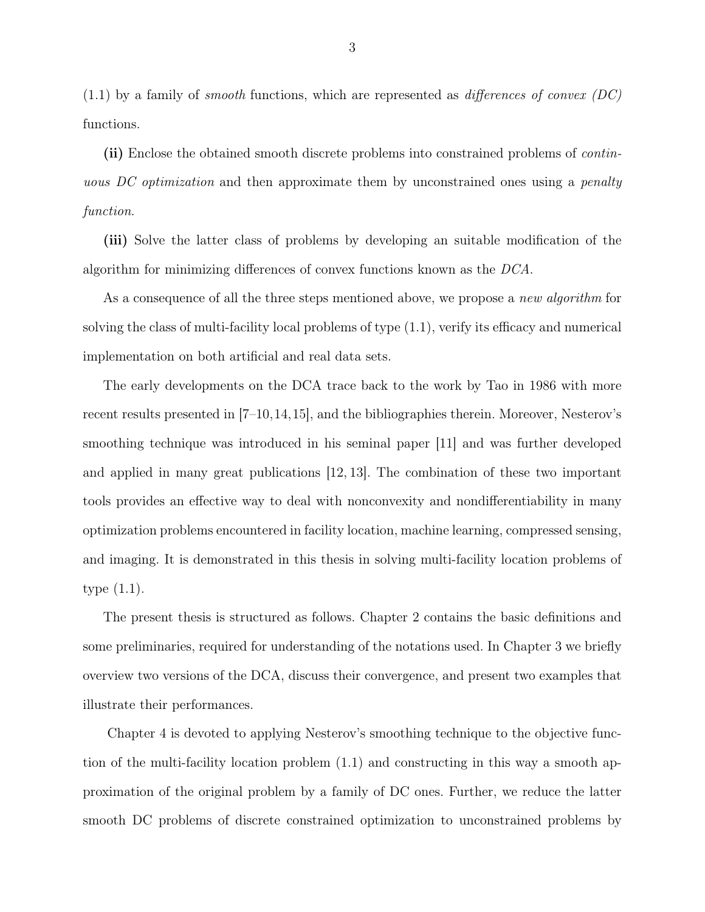$(1.1)$  by a family of *smooth* functions, which are represented as *differences of convex* (DC) functions.

(ii) Enclose the obtained smooth discrete problems into constrained problems of *contin*uous DC optimization and then approximate them by unconstrained ones using a *penalty* function.

(iii) Solve the latter class of problems by developing an suitable modification of the algorithm for minimizing differences of convex functions known as the DCA.

As a consequence of all the three steps mentioned above, we propose a *new algorithm* for solving the class of multi-facility local problems of type (1.1), verify its efficacy and numerical implementation on both artificial and real data sets.

The early developments on the DCA trace back to the work by Tao in 1986 with more recent results presented in [7–10,14,15], and the bibliographies therein. Moreover, Nesterov's smoothing technique was introduced in his seminal paper [11] and was further developed and applied in many great publications [12, 13]. The combination of these two important tools provides an effective way to deal with nonconvexity and nondifferentiability in many optimization problems encountered in facility location, machine learning, compressed sensing, and imaging. It is demonstrated in this thesis in solving multi-facility location problems of type (1.1).

The present thesis is structured as follows. Chapter 2 contains the basic definitions and some preliminaries, required for understanding of the notations used. In Chapter 3 we briefly overview two versions of the DCA, discuss their convergence, and present two examples that illustrate their performances.

Chapter 4 is devoted to applying Nesterov's smoothing technique to the objective function of the multi-facility location problem (1.1) and constructing in this way a smooth approximation of the original problem by a family of DC ones. Further, we reduce the latter smooth DC problems of discrete constrained optimization to unconstrained problems by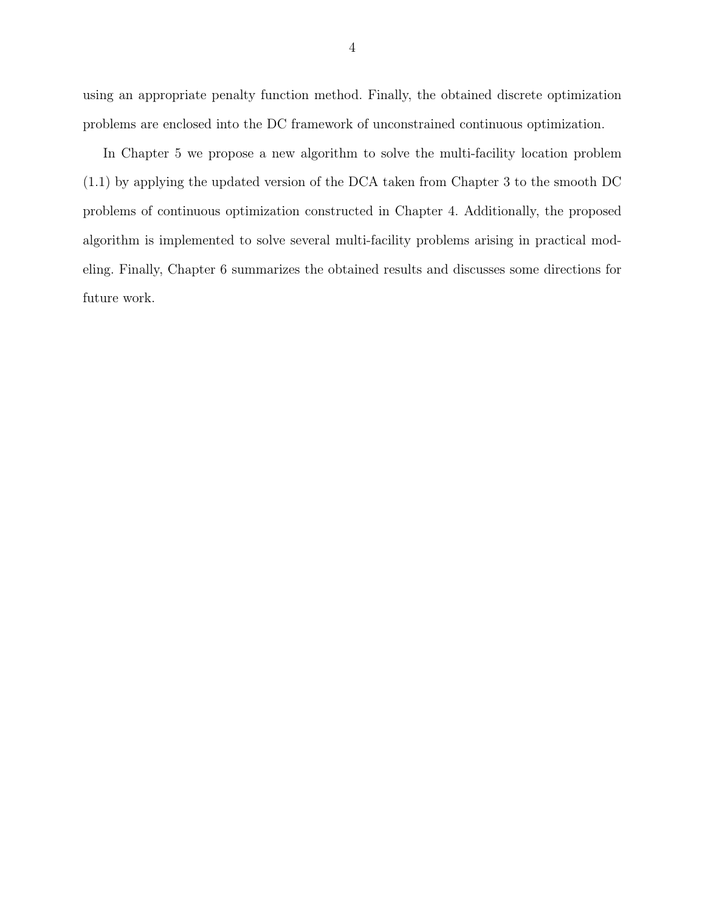using an appropriate penalty function method. Finally, the obtained discrete optimization problems are enclosed into the DC framework of unconstrained continuous optimization.

In Chapter 5 we propose a new algorithm to solve the multi-facility location problem (1.1) by applying the updated version of the DCA taken from Chapter 3 to the smooth DC problems of continuous optimization constructed in Chapter 4. Additionally, the proposed algorithm is implemented to solve several multi-facility problems arising in practical modeling. Finally, Chapter 6 summarizes the obtained results and discusses some directions for future work.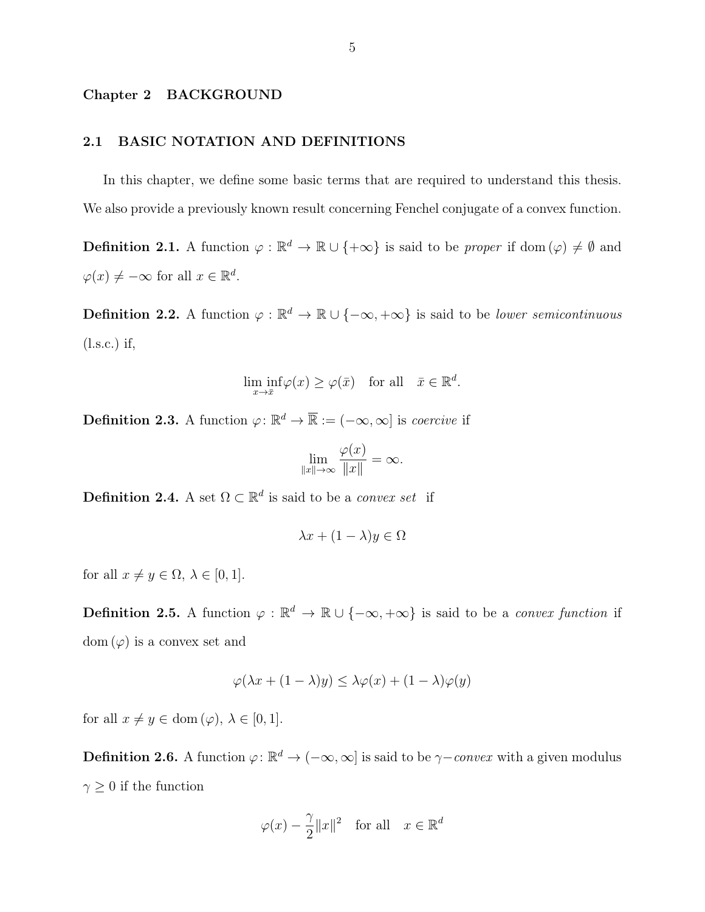#### Chapter 2 BACKGROUND

#### 2.1 BASIC NOTATION AND DEFINITIONS

In this chapter, we define some basic terms that are required to understand this thesis. We also provide a previously known result concerning Fenchel conjugate of a convex function.

**Definition 2.1.** A function  $\varphi : \mathbb{R}^d \to \mathbb{R} \cup \{+\infty\}$  is said to be *proper* if dom  $(\varphi) \neq \emptyset$  and  $\varphi(x) \neq -\infty$  for all  $x \in \mathbb{R}^d$ .

**Definition 2.2.** A function  $\varphi : \mathbb{R}^d \to \mathbb{R} \cup \{-\infty, +\infty\}$  is said to be *lower semicontinuous* (l.s.c.) if,

$$
\liminf_{x \to \bar{x}} \varphi(x) \ge \varphi(\bar{x}) \quad \text{for all} \quad \bar{x} \in \mathbb{R}^d.
$$

**Definition 2.3.** A function  $\varphi: \mathbb{R}^d \to \overline{\mathbb{R}} := (-\infty, \infty]$  is *coercive* if

$$
\lim_{\|x\|\to\infty}\frac{\varphi(x)}{\|x\|}=\infty.
$$

**Definition 2.4.** A set  $\Omega \subset \mathbb{R}^d$  is said to be a *convex set* if

$$
\lambda x + (1 - \lambda)y \in \Omega
$$

for all  $x \neq y \in \Omega, \lambda \in [0, 1].$ 

**Definition 2.5.** A function  $\varphi : \mathbb{R}^d \to \mathbb{R} \cup \{-\infty, +\infty\}$  is said to be a *convex function* if  $dom(\varphi)$  is a convex set and

$$
\varphi(\lambda x + (1 - \lambda)y) \le \lambda \varphi(x) + (1 - \lambda)\varphi(y)
$$

for all  $x \neq y \in \text{dom}(\varphi)$ ,  $\lambda \in [0, 1]$ .

**Definition 2.6.** A function  $\varphi: \mathbb{R}^d \to (-\infty, \infty]$  is said to be  $\gamma$ -convex with a given modulus  $\gamma \geq 0$  if the function

$$
\varphi(x) - \frac{\gamma}{2} ||x||^2
$$
 for all  $x \in \mathbb{R}^d$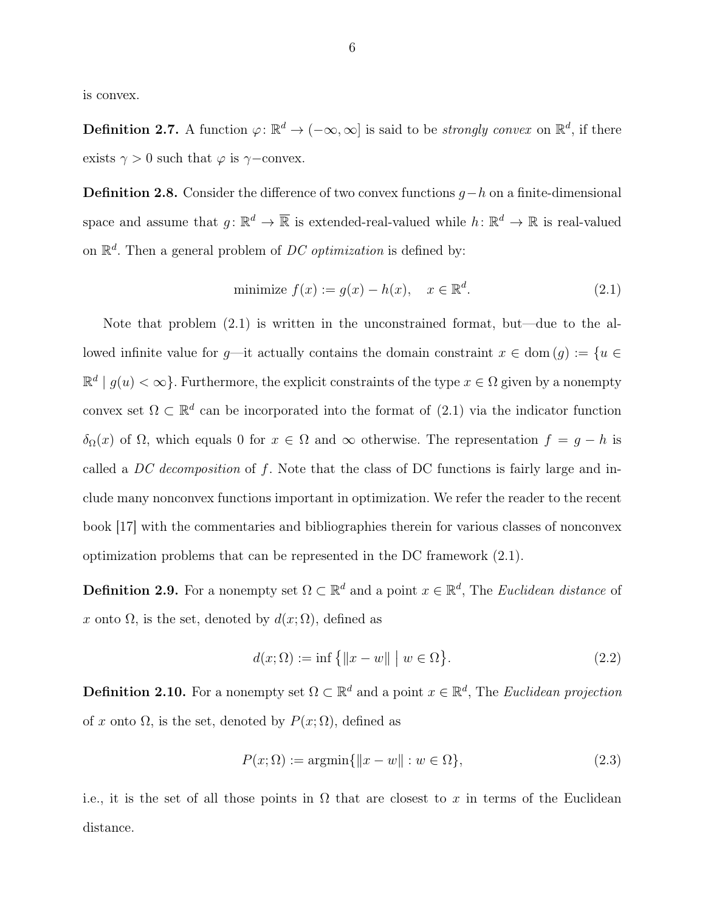is convex.

**Definition 2.7.** A function  $\varphi: \mathbb{R}^d \to (-\infty, \infty]$  is said to be *strongly convex* on  $\mathbb{R}^d$ , if there exists  $\gamma > 0$  such that  $\varphi$  is  $\gamma$ −convex.

**Definition 2.8.** Consider the difference of two convex functions  $q-h$  on a finite-dimensional space and assume that  $g: \mathbb{R}^d \to \overline{\mathbb{R}}$  is extended-real-valued while  $h: \mathbb{R}^d \to \mathbb{R}$  is real-valued on  $\mathbb{R}^d$ . Then a general problem of *DC optimization* is defined by:

minimize 
$$
f(x) := g(x) - h(x)
$$
,  $x \in \mathbb{R}^d$ . (2.1)

Note that problem (2.1) is written in the unconstrained format, but—due to the allowed infinite value for g—it actually contains the domain constraint  $x \in \text{dom}(g) := \{u \in$  $\mathbb{R}^d | g(u) < \infty$ . Furthermore, the explicit constraints of the type  $x \in \Omega$  given by a nonempty convex set  $\Omega \subset \mathbb{R}^d$  can be incorporated into the format of (2.1) via the indicator function  $δ<sub>Ω</sub>(x)$  of Ω, which equals 0 for  $x ∈ Ω$  and ∞ otherwise. The representation  $f = g - h$  is called a DC decomposition of f. Note that the class of DC functions is fairly large and include many nonconvex functions important in optimization. We refer the reader to the recent book [17] with the commentaries and bibliographies therein for various classes of nonconvex optimization problems that can be represented in the DC framework (2.1).

**Definition 2.9.** For a nonempty set  $\Omega \subset \mathbb{R}^d$  and a point  $x \in \mathbb{R}^d$ , The *Euclidean distance* of x onto  $\Omega$ , is the set, denoted by  $d(x; \Omega)$ , defined as

$$
d(x; \Omega) := \inf \{ ||x - w|| \mid w \in \Omega \}. \tag{2.2}
$$

**Definition 2.10.** For a nonempty set  $\Omega \subset \mathbb{R}^d$  and a point  $x \in \mathbb{R}^d$ , The Euclidean projection of x onto  $\Omega$ , is the set, denoted by  $P(x; \Omega)$ , defined as

$$
P(x; \Omega) := \operatorname{argmin} \{ \|x - w\| : w \in \Omega \},\tag{2.3}
$$

i.e., it is the set of all those points in  $\Omega$  that are closest to x in terms of the Euclidean distance.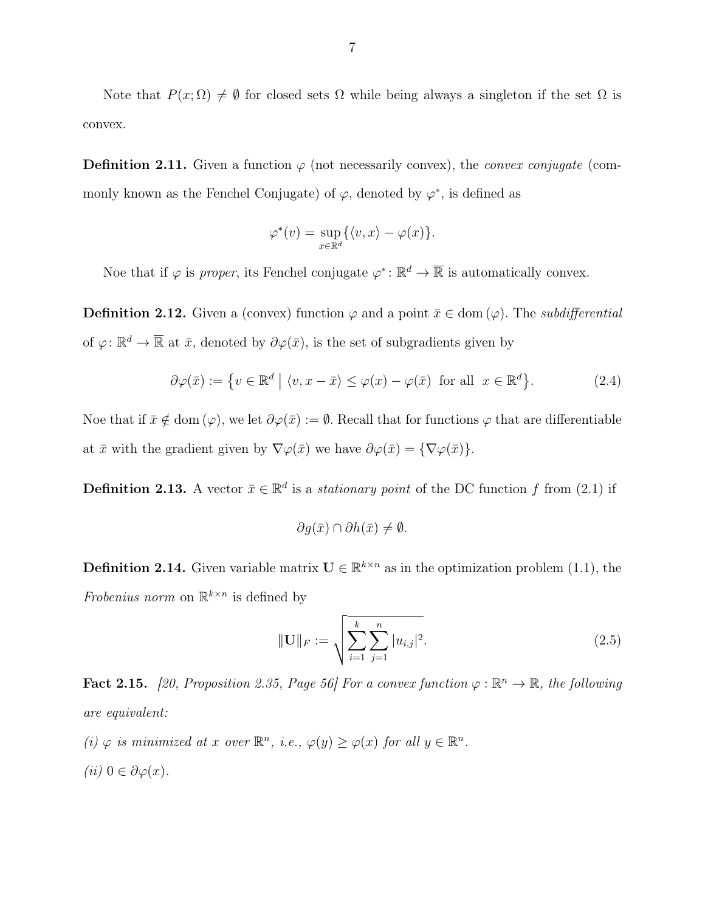Note that  $P(x; \Omega) \neq \emptyset$  for closed sets  $\Omega$  while being always a singleton if the set  $\Omega$  is convex.

**Definition 2.11.** Given a function  $\varphi$  (not necessarily convex), the *convex conjugate* (commonly known as the Fenchel Conjugate) of  $\varphi$ , denoted by  $\varphi^*$ , is defined as

$$
\varphi^*(v) = \sup_{x \in \mathbb{R}^d} \{ \langle v, x \rangle - \varphi(x) \}.
$$

Noe that if  $\varphi$  is proper, its Fenchel conjugate  $\varphi^* \colon \mathbb{R}^d \to \overline{\mathbb{R}}$  is automatically convex.

**Definition 2.12.** Given a (convex) function  $\varphi$  and a point  $\bar{x} \in \text{dom}(\varphi)$ . The *subdifferential* of  $\varphi: \mathbb{R}^d \to \overline{\mathbb{R}}$  at  $\bar{x}$ , denoted by  $\partial \varphi(\bar{x})$ , is the set of subgradients given by

$$
\partial \varphi(\bar{x}) := \{ v \in \mathbb{R}^d \mid \langle v, x - \bar{x} \rangle \le \varphi(x) - \varphi(\bar{x}) \text{ for all } x \in \mathbb{R}^d \}. \tag{2.4}
$$

Noe that if  $\bar{x} \notin \text{dom}(\varphi)$ , we let  $\partial \varphi(\bar{x}) := \emptyset$ . Recall that for functions  $\varphi$  that are differentiable at  $\bar{x}$  with the gradient given by  $\nabla \varphi(\bar{x})$  we have  $\partial \varphi(\bar{x}) = {\nabla \varphi(\bar{x})}$ .

**Definition 2.13.** A vector  $\bar{x} \in \mathbb{R}^d$  is a *stationary point* of the DC function f from (2.1) if

$$
\partial g(\bar{x}) \cap \partial h(\bar{x}) \neq \emptyset.
$$

**Definition 2.14.** Given variable matrix  $\mathbf{U} \in \mathbb{R}^{k \times n}$  as in the optimization problem (1.1), the Frobenius norm on  $\mathbb{R}^{k \times n}$  is defined by

$$
\|\mathbf{U}\|_{F} := \sqrt{\sum_{i=1}^{k} \sum_{j=1}^{n} |u_{i,j}|^{2}}.
$$
\n(2.5)

**Fact 2.15.** [20, Proposition 2.35, Page 56] For a convex function  $\varphi : \mathbb{R}^n \to \mathbb{R}$ , the following are equivalent:

- (i)  $\varphi$  is minimized at x over  $\mathbb{R}^n$ , i.e.,  $\varphi(y) \geq \varphi(x)$  for all  $y \in \mathbb{R}^n$ .
- (*ii*)  $0 \in \partial \varphi(x)$ .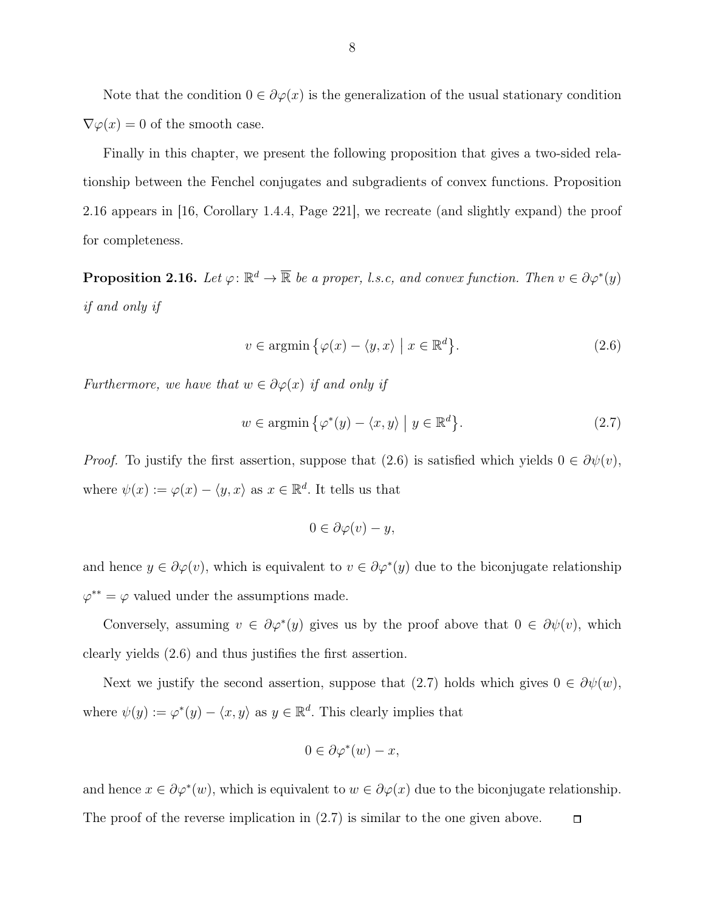Note that the condition  $0 \in \partial \varphi(x)$  is the generalization of the usual stationary condition  $\nabla \varphi(x) = 0$  of the smooth case.

Finally in this chapter, we present the following proposition that gives a two-sided relationship between the Fenchel conjugates and subgradients of convex functions. Proposition 2.16 appears in [16, Corollary 1.4.4, Page 221], we recreate (and slightly expand) the proof for completeness.

**Proposition 2.16.** Let  $\varphi: \mathbb{R}^d \to \overline{\mathbb{R}}$  be a proper, l.s.c, and convex function. Then  $v \in \partial \varphi^*(y)$ if and only if

$$
v \in \operatorname{argmin} \{ \varphi(x) - \langle y, x \rangle \mid x \in \mathbb{R}^d \}. \tag{2.6}
$$

Furthermore, we have that  $w \in \partial \varphi(x)$  if and only if

$$
w \in \operatorname{argmin} \{ \varphi^*(y) - \langle x, y \rangle \mid y \in \mathbb{R}^d \}. \tag{2.7}
$$

*Proof.* To justify the first assertion, suppose that (2.6) is satisfied which yields  $0 \in \partial \psi(v)$ , where  $\psi(x) := \varphi(x) - \langle y, x \rangle$  as  $x \in \mathbb{R}^d$ . It tells us that

$$
0 \in \partial \varphi(v) - y,
$$

and hence  $y \in \partial \varphi(v)$ , which is equivalent to  $v \in \partial \varphi^*(y)$  due to the biconjugate relationship  $\varphi^{**} = \varphi$  valued under the assumptions made.

Conversely, assuming  $v \in \partial \varphi^*(y)$  gives us by the proof above that  $0 \in \partial \psi(v)$ , which clearly yields (2.6) and thus justifies the first assertion.

Next we justify the second assertion, suppose that (2.7) holds which gives  $0 \in \partial \psi(w)$ , where  $\psi(y) := \varphi^*(y) - \langle x, y \rangle$  as  $y \in \mathbb{R}^d$ . This clearly implies that

$$
0 \in \partial \varphi^*(w) - x,
$$

and hence  $x \in \partial \varphi^*(w)$ , which is equivalent to  $w \in \partial \varphi(x)$  due to the biconjugate relationship. The proof of the reverse implication in (2.7) is similar to the one given above. $\Box$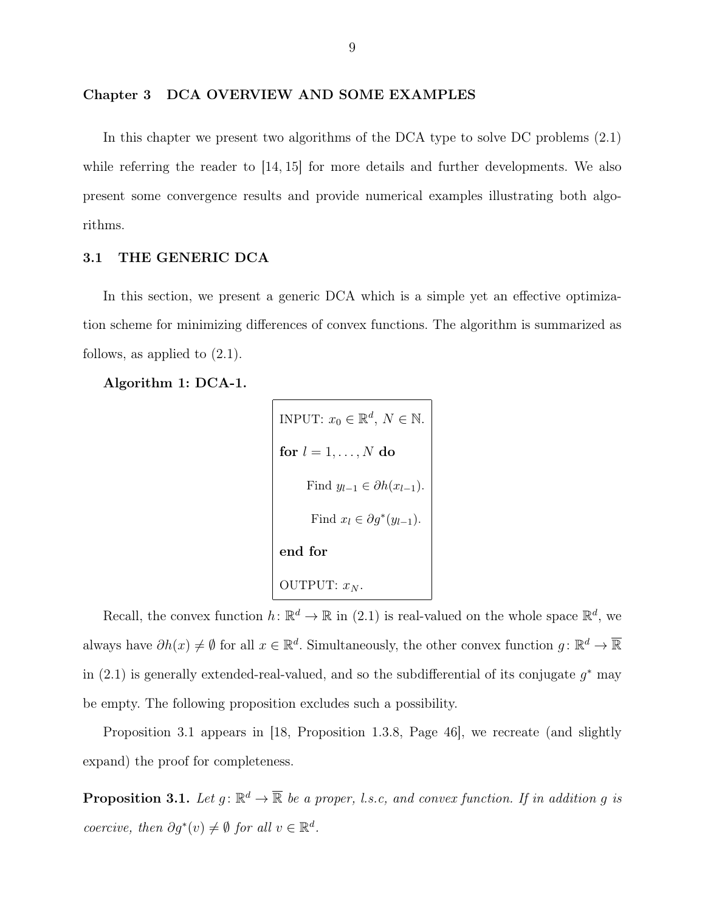In this chapter we present two algorithms of the DCA type to solve DC problems (2.1) while referring the reader to [14, 15] for more details and further developments. We also present some convergence results and provide numerical examples illustrating both algorithms.

#### 3.1 THE GENERIC DCA

In this section, we present a generic DCA which is a simple yet an effective optimization scheme for minimizing differences of convex functions. The algorithm is summarized as follows, as applied to (2.1).

Algorithm 1: DCA-1.

```
INPUT: x_0 \in \mathbb{R}^d, N \in \mathbb{N}.
for l=1,\ldots,N do
       Find y_{l-1} \in \partial h(x_{l-1}).
        Find x_l \in \partial g^*(y_{l-1}).
end for
OUTPUT: x_N.
```
Recall, the convex function  $h: \mathbb{R}^d \to \mathbb{R}$  in (2.1) is real-valued on the whole space  $\mathbb{R}^d$ , we always have  $\partial h(x) \neq \emptyset$  for all  $x \in \mathbb{R}^d$ . Simultaneously, the other convex function  $g: \mathbb{R}^d \to \overline{\mathbb{R}}$ in  $(2.1)$  is generally extended-real-valued, and so the subdifferential of its conjugate  $g^*$  may be empty. The following proposition excludes such a possibility.

Proposition 3.1 appears in [18, Proposition 1.3.8, Page 46], we recreate (and slightly expand) the proof for completeness.

**Proposition 3.1.** Let  $g: \mathbb{R}^d \to \overline{\mathbb{R}}$  be a proper, l.s.c, and convex function. If in addition g is coercive, then  $\partial g^*(v) \neq \emptyset$  for all  $v \in \mathbb{R}^d$ .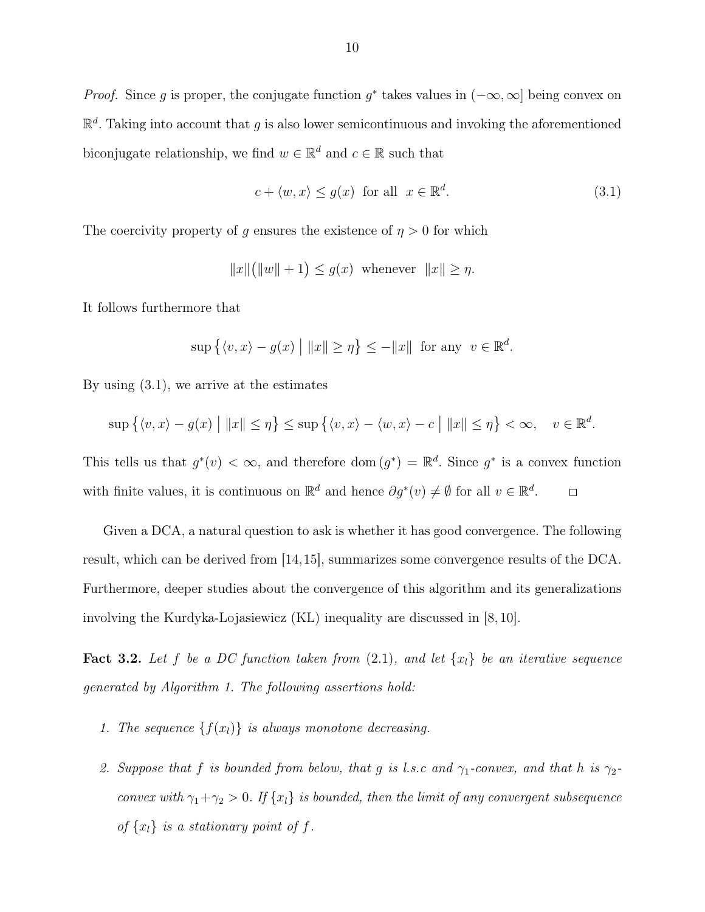*Proof.* Since g is proper, the conjugate function  $g^*$  takes values in  $(-\infty, \infty]$  being convex on  $\mathbb{R}^d$ . Taking into account that g is also lower semicontinuous and invoking the aforementioned biconjugate relationship, we find  $w \in \mathbb{R}^d$  and  $c \in \mathbb{R}$  such that

$$
c + \langle w, x \rangle \le g(x) \quad \text{for all} \quad x \in \mathbb{R}^d. \tag{3.1}
$$

The coercivity property of g ensures the existence of  $\eta > 0$  for which

$$
||x||(||w||+1) \le g(x) \text{ whenever } ||x|| \ge \eta.
$$

It follows furthermore that

$$
\sup\left\{\langle v,x\rangle - g(x) \mid \|x\| \ge \eta\right\} \le -\|x\| \text{ for any } v \in \mathbb{R}^d.
$$

By using (3.1), we arrive at the estimates

$$
\sup\left\{\langle v,x\rangle-g(x)\bigm||x||\leq\eta\right\}\leq\sup\left\{\langle v,x\rangle-\langle w,x\rangle-c\bigm||x||\leq\eta\right\}<\infty,\quad v\in\mathbb{R}^d.
$$

This tells us that  $g^*(v) < \infty$ , and therefore dom  $(g^*) = \mathbb{R}^d$ . Since  $g^*$  is a convex function with finite values, it is continuous on  $\mathbb{R}^d$  and hence  $\partial g^*(v) \neq \emptyset$  for all  $v \in \mathbb{R}^d$ .  $\Box$ 

Given a DCA, a natural question to ask is whether it has good convergence. The following result, which can be derived from [14,15], summarizes some convergence results of the DCA. Furthermore, deeper studies about the convergence of this algorithm and its generalizations involving the Kurdyka-Lojasiewicz (KL) inequality are discussed in [8, 10].

**Fact 3.2.** Let f be a DC function taken from  $(2.1)$ , and let  $\{x_i\}$  be an iterative sequence generated by Algorithm 1. The following assertions hold:

- 1. The sequence  $\{f(x_l)\}\$ is always monotone decreasing.
- 2. Suppose that f is bounded from below, that g is l.s.c and  $\gamma_1$ -convex, and that h is  $\gamma_2$ convex with  $\gamma_1 + \gamma_2 > 0$ . If  $\{x_l\}$  is bounded, then the limit of any convergent subsequence of  $\{x_l\}$  is a stationary point of f.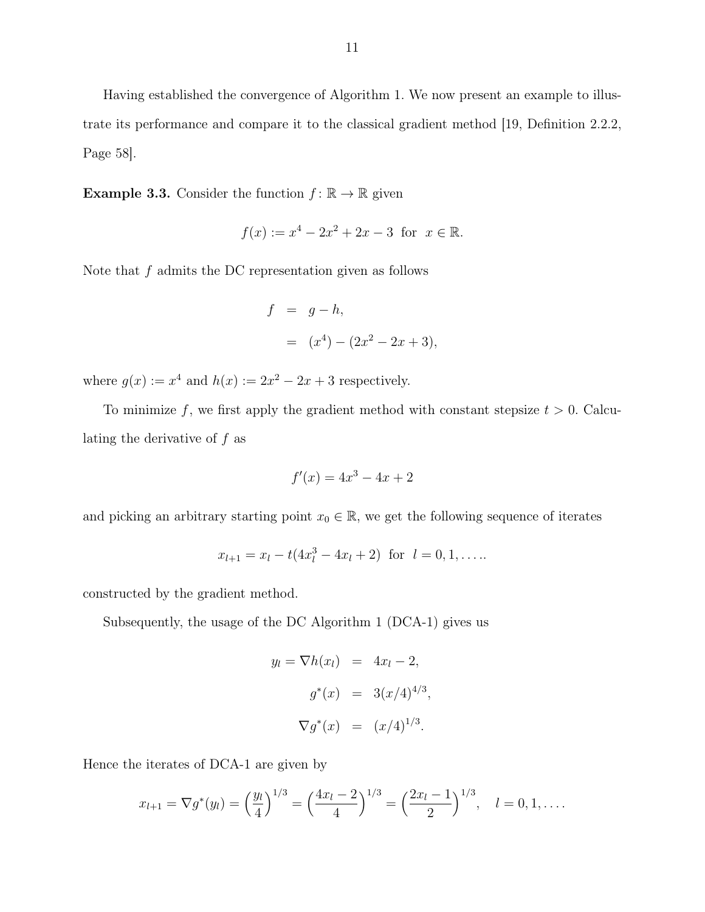Having established the convergence of Algorithm 1. We now present an example to illustrate its performance and compare it to the classical gradient method [19, Definition 2.2.2, Page 58].

**Example 3.3.** Consider the function  $f : \mathbb{R} \to \mathbb{R}$  given

$$
f(x) := x^4 - 2x^2 + 2x - 3
$$
 for  $x \in \mathbb{R}$ .

Note that  $f$  admits the DC representation given as follows

$$
f = g - h,
$$
  
=  $(x^4) - (2x^2 - 2x + 3),$ 

where  $g(x) := x^4$  and  $h(x) := 2x^2 - 2x + 3$  respectively.

To minimize f, we first apply the gradient method with constant stepsize  $t > 0$ . Calculating the derivative of  $f$  as

$$
f'(x) = 4x^3 - 4x + 2
$$

and picking an arbitrary starting point  $x_0 \in \mathbb{R}$ , we get the following sequence of iterates

$$
x_{l+1} = x_l - t(4x_l^3 - 4x_l + 2) \text{ for } l = 0, 1, \dots
$$

constructed by the gradient method.

Subsequently, the usage of the DC Algorithm 1 (DCA-1) gives us

$$
y_l = \nabla h(x_l) = 4x_l - 2,
$$
  
 $g^*(x) = 3(x/4)^{4/3},$   
 $\nabla g^*(x) = (x/4)^{1/3}.$ 

Hence the iterates of DCA-1 are given by

$$
x_{l+1} = \nabla g^*(y_l) = \left(\frac{y_l}{4}\right)^{1/3} = \left(\frac{4x_l - 2}{4}\right)^{1/3} = \left(\frac{2x_l - 1}{2}\right)^{1/3}, \quad l = 0, 1, \dots.
$$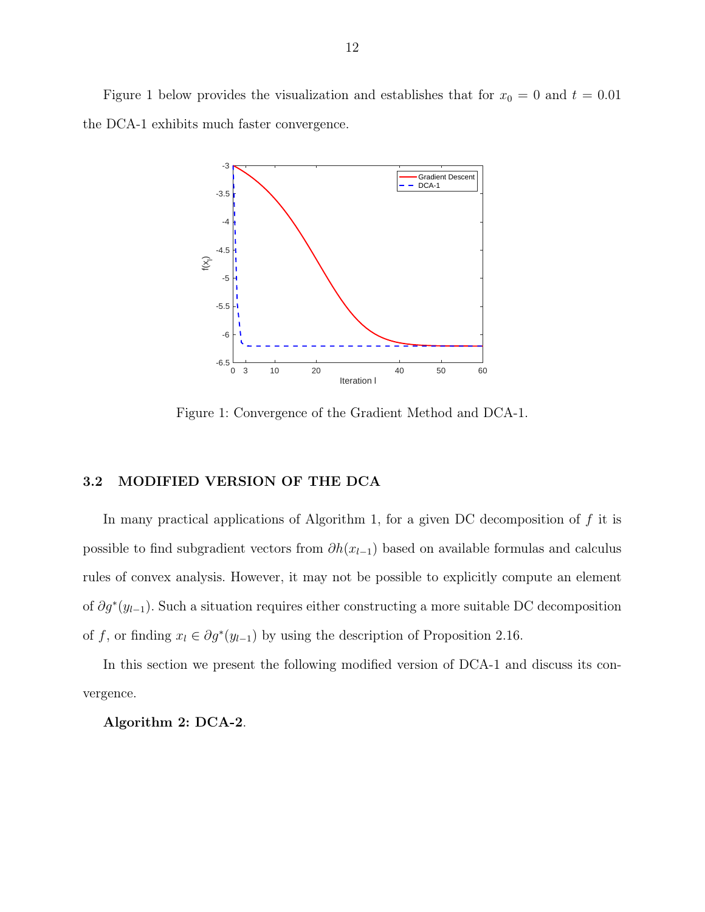Figure 1 below provides the visualization and establishes that for  $x_0 = 0$  and  $t = 0.01$ the DCA-1 exhibits much faster convergence.



Figure 1: Convergence of the Gradient Method and DCA-1.

#### 3.2 MODIFIED VERSION OF THE DCA

In many practical applications of Algorithm 1, for a given DC decomposition of  $f$  it is possible to find subgradient vectors from  $\partial h(x_{l-1})$  based on available formulas and calculus rules of convex analysis. However, it may not be possible to explicitly compute an element of  $\partial g^*(y_{l-1})$ . Such a situation requires either constructing a more suitable DC decomposition of f, or finding  $x_l \in \partial g^*(y_{l-1})$  by using the description of Proposition 2.16.

In this section we present the following modified version of DCA-1 and discuss its convergence.

#### Algorithm 2: DCA-2.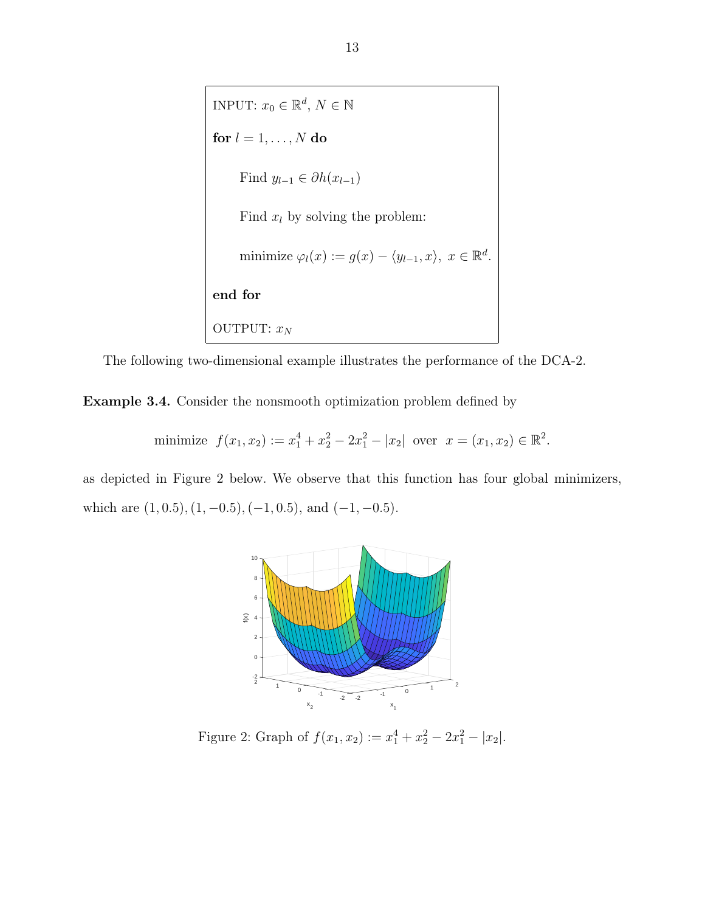INPUT:  $x_0 \in \mathbb{R}^d$ ,  $N \in \mathbb{N}$ for  $l=1,\ldots,N$  do Find  $y_{l-1} \in \partial h(x_{l-1})$ Find  $x_l$  by solving the problem: minimize  $\varphi_l(x) := g(x) - \langle y_{l-1}, x \rangle, x \in \mathbb{R}^d$ . end for OUTPUT:  $x_N$ 

The following two-dimensional example illustrates the performance of the DCA-2.

Example 3.4. Consider the nonsmooth optimization problem defined by

minimize 
$$
f(x_1, x_2) := x_1^4 + x_2^2 - 2x_1^2 - |x_2|
$$
 over  $x = (x_1, x_2) \in \mathbb{R}^2$ .

as depicted in Figure 2 below. We observe that this function has four global minimizers, which are  $(1, 0.5), (1, -0.5), (-1, 0.5)$ , and  $(-1, -0.5)$ .



Figure 2: Graph of  $f(x_1, x_2) := x_1^4 + x_2^2 - 2x_1^2 - |x_2|$ .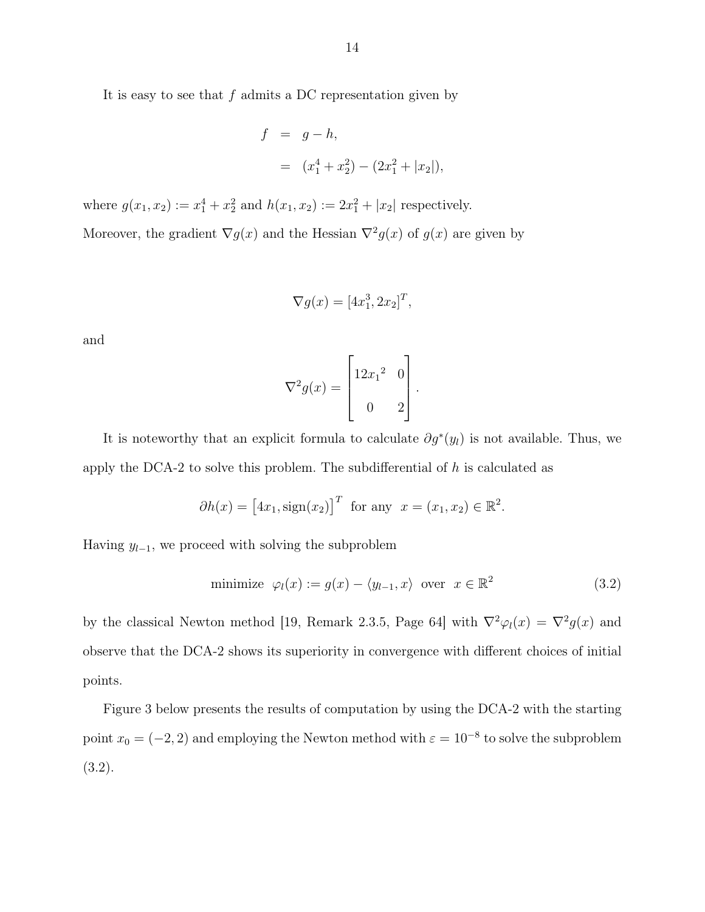It is easy to see that  $f$  admits a DC representation given by

$$
f = g - h,
$$
  
=  $(x_1^4 + x_2^2) - (2x_1^2 + |x_2|),$ 

where  $g(x_1, x_2) := x_1^4 + x_2^2$  and  $h(x_1, x_2) := 2x_1^2 + |x_2|$  respectively. Moreover, the gradient  $\nabla g(x)$  and the Hessian  $\nabla^2 g(x)$  of  $g(x)$  are given by

$$
\nabla g(x) = [4x_1^3, 2x_2]^T
$$

,

and

$$
\nabla^2 g(x) = \begin{bmatrix} 12x_1^2 & 0 \\ 0 & 2 \end{bmatrix}.
$$

It is noteworthy that an explicit formula to calculate  $\partial g^*(y_l)$  is not available. Thus, we apply the DCA-2 to solve this problem. The subdifferential of  $h$  is calculated as

$$
\partial h(x) = [4x_1, \text{sign}(x_2)]^T
$$
 for any  $x = (x_1, x_2) \in \mathbb{R}^2$ .

Having  $y_{l-1}$ , we proceed with solving the subproblem

minimize 
$$
\varphi_l(x) := g(x) - \langle y_{l-1}, x \rangle
$$
 over  $x \in \mathbb{R}^2$  (3.2)

by the classical Newton method [19, Remark 2.3.5, Page 64] with  $\nabla^2 \varphi_l(x) = \nabla^2 g(x)$  and observe that the DCA-2 shows its superiority in convergence with different choices of initial points.

Figure 3 below presents the results of computation by using the DCA-2 with the starting point  $x_0 = (-2, 2)$  and employing the Newton method with  $\varepsilon = 10^{-8}$  to solve the subproblem (3.2).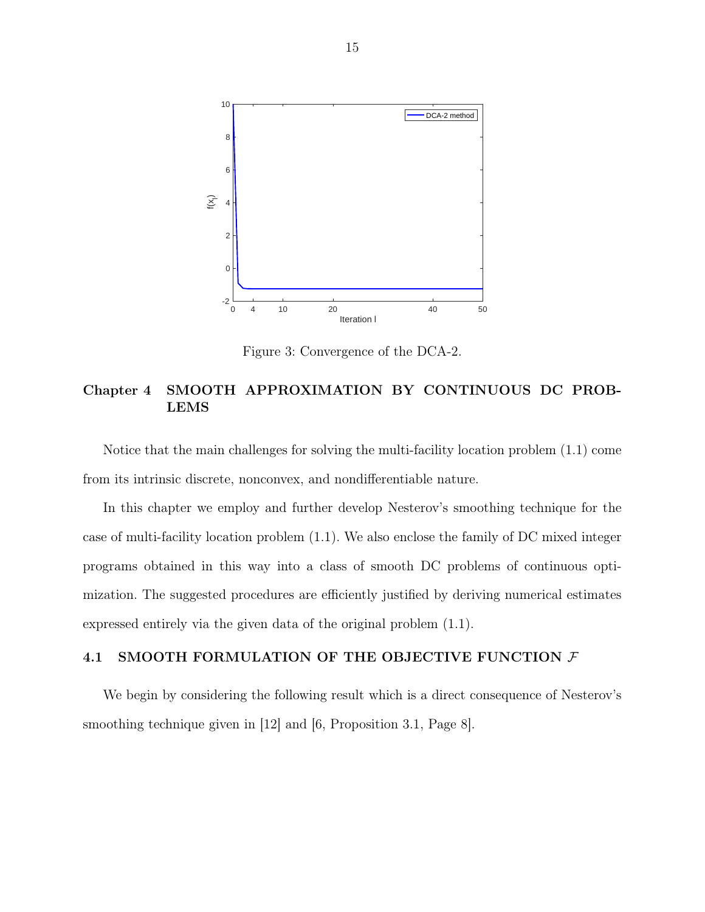

Figure 3: Convergence of the DCA-2.

# Chapter 4 SMOOTH APPROXIMATION BY CONTINUOUS DC PROB-LEMS

Notice that the main challenges for solving the multi-facility location problem (1.1) come from its intrinsic discrete, nonconvex, and nondifferentiable nature.

In this chapter we employ and further develop Nesterov's smoothing technique for the case of multi-facility location problem (1.1). We also enclose the family of DC mixed integer programs obtained in this way into a class of smooth DC problems of continuous optimization. The suggested procedures are efficiently justified by deriving numerical estimates expressed entirely via the given data of the original problem (1.1).

#### 4.1 SMOOTH FORMULATION OF THE OBJECTIVE FUNCTION  $\mathcal F$

We begin by considering the following result which is a direct consequence of Nesterov's smoothing technique given in [12] and [6, Proposition 3.1, Page 8].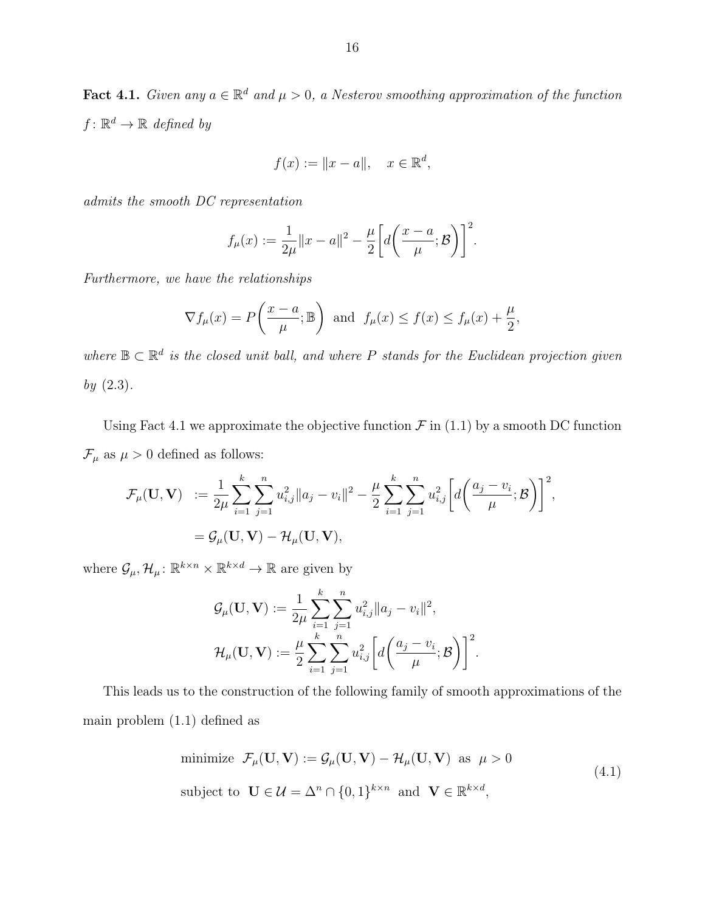**Fact 4.1.** Given any  $a \in \mathbb{R}^d$  and  $\mu > 0$ , a Nesterov smoothing approximation of the function  $f: \mathbb{R}^d \to \mathbb{R}$  defined by

$$
f(x) := \|x - a\|, \quad x \in \mathbb{R}^d,
$$

admits the smooth DC representation

$$
f_{\mu}(x) := \frac{1}{2\mu} \|x - a\|^2 - \frac{\mu}{2} \bigg[ d\bigg(\frac{x - a}{\mu}; \mathcal{B}\bigg) \bigg]^2.
$$

Furthermore, we have the relationships

$$
\nabla f_{\mu}(x) = P\left(\frac{x-a}{\mu}; \mathbb{B}\right)
$$
 and  $f_{\mu}(x) \le f(x) \le f_{\mu}(x) + \frac{\mu}{2}$ ,

where  $\mathbb{B} \subset \mathbb{R}^d$  is the closed unit ball, and where P stands for the Euclidean projection given by  $(2.3)$ .

Using Fact 4.1 we approximate the objective function  $\mathcal F$  in (1.1) by a smooth DC function  $\mathcal{F}_{\mu}$  as  $\mu > 0$  defined as follows:

$$
\mathcal{F}_{\mu}(\mathbf{U}, \mathbf{V}) := \frac{1}{2\mu} \sum_{i=1}^{k} \sum_{j=1}^{n} u_{i,j}^{2} \|a_{j} - v_{i}\|^{2} - \frac{\mu}{2} \sum_{i=1}^{k} \sum_{j=1}^{n} u_{i,j}^{2} \bigg[d\bigg(\frac{a_{j} - v_{i}}{\mu}; \mathcal{B}\bigg)\bigg]^{2},
$$
  
=  $\mathcal{G}_{\mu}(\mathbf{U}, \mathbf{V}) - \mathcal{H}_{\mu}(\mathbf{U}, \mathbf{V}),$ 

where  $\mathcal{G}_{\mu}, \mathcal{H}_{\mu} : \mathbb{R}^{k \times n} \times \mathbb{R}^{k \times d} \to \mathbb{R}$  are given by

$$
G_{\mu}(\mathbf{U}, \mathbf{V}) := \frac{1}{2\mu} \sum_{i=1}^{k} \sum_{j=1}^{n} u_{i,j}^{2} \|a_{j} - v_{i}\|^{2},
$$
  

$$
\mathcal{H}_{\mu}(\mathbf{U}, \mathbf{V}) := \frac{\mu}{2} \sum_{i=1}^{k} \sum_{j=1}^{n} u_{i,j}^{2} \bigg[d\bigg(\frac{a_{j} - v_{i}}{\mu}; \mathcal{B}\bigg)\bigg]^{2}.
$$

This leads us to the construction of the following family of smooth approximations of the main problem (1.1) defined as

minimize 
$$
\mathcal{F}_{\mu}(\mathbf{U}, \mathbf{V}) := \mathcal{G}_{\mu}(\mathbf{U}, \mathbf{V}) - \mathcal{H}_{\mu}(\mathbf{U}, \mathbf{V})
$$
 as  $\mu > 0$   
\nsubject to  $\mathbf{U} \in \mathcal{U} = \Delta^n \cap \{0, 1\}^{k \times n}$  and  $\mathbf{V} \in \mathbb{R}^{k \times d}$ , (4.1)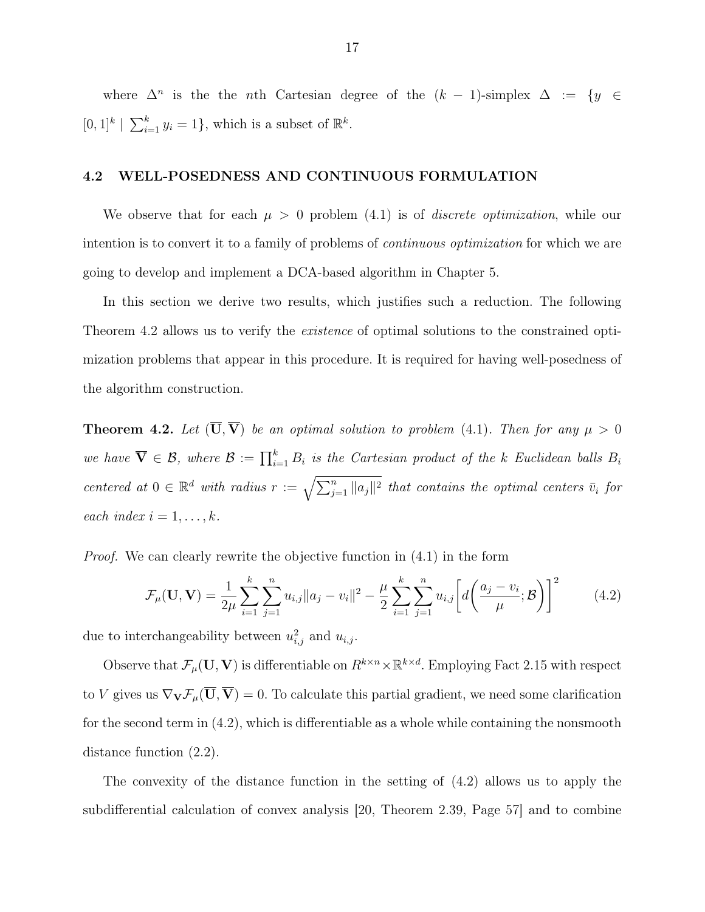where  $\Delta^n$  is the the nth Cartesian degree of the  $(k-1)$ -simplex  $\Delta := \{y \in$  $[0,1]^k \mid \sum_{i=1}^k y_i = 1$ , which is a subset of  $\mathbb{R}^k$ .

#### 4.2 WELL-POSEDNESS AND CONTINUOUS FORMULATION

We observe that for each  $\mu > 0$  problem (4.1) is of *discrete optimization*, while our intention is to convert it to a family of problems of *continuous optimization* for which we are going to develop and implement a DCA-based algorithm in Chapter 5.

In this section we derive two results, which justifies such a reduction. The following Theorem 4.2 allows us to verify the *existence* of optimal solutions to the constrained optimization problems that appear in this procedure. It is required for having well-posedness of the algorithm construction.

**Theorem 4.2.** Let  $(\overline{U}, \overline{V})$  be an optimal solution to problem (4.1). Then for any  $\mu > 0$ we have  $\overline{\mathbf{V}} \in \mathcal{B}$ , where  $\mathcal{B} := \prod_{i=1}^k B_i$  is the Cartesian product of the k Euclidean balls  $B_i$ centered at  $0 \in \mathbb{R}^d$  with radius  $r := \sqrt{\sum_{j=1}^n ||a_j||^2}$  that contains the optimal centers  $\bar{v}_i$  for each index  $i = 1, \ldots, k$ .

Proof. We can clearly rewrite the objective function in (4.1) in the form

$$
\mathcal{F}_{\mu}(\mathbf{U}, \mathbf{V}) = \frac{1}{2\mu} \sum_{i=1}^{k} \sum_{j=1}^{n} u_{i,j} \|a_j - v_i\|^2 - \frac{\mu}{2} \sum_{i=1}^{k} \sum_{j=1}^{n} u_{i,j} \left[ d \left( \frac{a_j - v_i}{\mu}; \mathcal{B} \right) \right]^2 \tag{4.2}
$$

due to interchangeability between  $u_{i,j}^2$  and  $u_{i,j}$ .

Observe that  $\mathcal{F}_{\mu}(\mathbf{U}, \mathbf{V})$  is differentiable on  $R^{k \times n} \times \mathbb{R}^{k \times d}$ . Employing Fact 2.15 with respect to V gives us  $\nabla_{\mathbf{V}}\mathcal{F}_{\mu}(\overline{\mathbf{U}}, \overline{\mathbf{V}}) = 0$ . To calculate this partial gradient, we need some clarification for the second term in (4.2), which is differentiable as a whole while containing the nonsmooth distance function (2.2).

The convexity of the distance function in the setting of (4.2) allows us to apply the subdifferential calculation of convex analysis [20, Theorem 2.39, Page 57] and to combine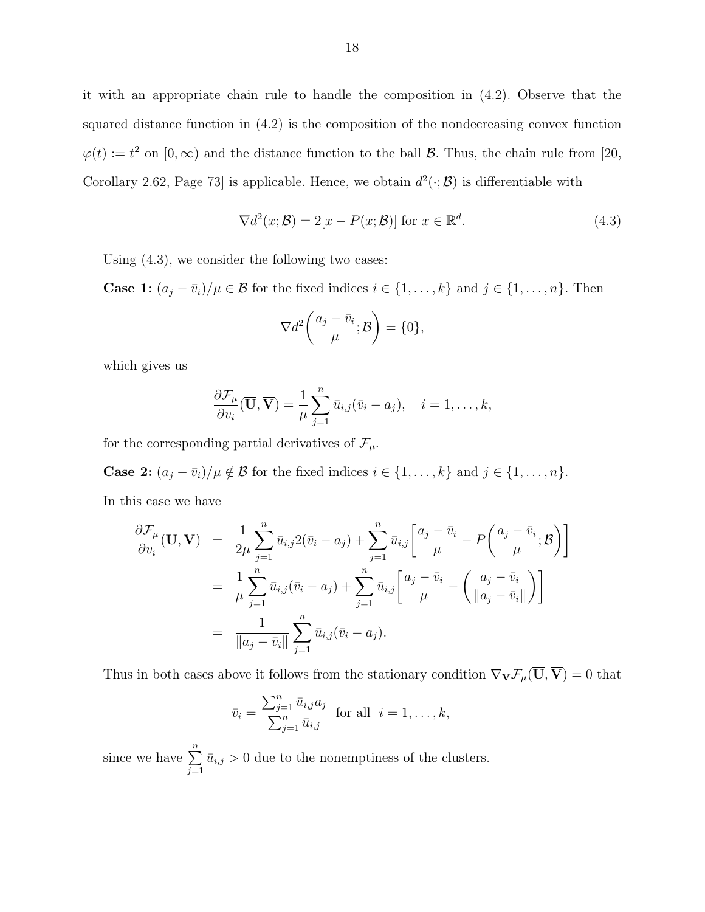it with an appropriate chain rule to handle the composition in (4.2). Observe that the squared distance function in (4.2) is the composition of the nondecreasing convex function  $\varphi(t) := t^2$  on  $[0, \infty)$  and the distance function to the ball  $\mathcal{B}$ . Thus, the chain rule from [20, Corollary 2.62, Page 73 is applicable. Hence, we obtain  $d^2(\cdot;\mathcal{B})$  is differentiable with

$$
\nabla d^2(x; \mathcal{B}) = 2[x - P(x; \mathcal{B})] \text{ for } x \in \mathbb{R}^d.
$$
 (4.3)

Using (4.3), we consider the following two cases:

**Case 1:**  $(a_j - \bar{v}_i)/\mu \in \mathcal{B}$  for the fixed indices  $i \in \{1, ..., k\}$  and  $j \in \{1, ..., n\}$ . Then

$$
\nabla d^2\bigg(\frac{a_j-\bar{v}_i}{\mu};\mathcal{B}\bigg)=\{0\},\,
$$

which gives us

$$
\frac{\partial \mathcal{F}_{\mu}}{\partial v_i}(\overline{\mathbf{U}}, \overline{\mathbf{V}}) = \frac{1}{\mu} \sum_{j=1}^n \overline{u}_{i,j}(\overline{v}_i - a_j), \quad i = 1, \dots, k,
$$

for the corresponding partial derivatives of  $\mathcal{F}_{\mu}$ .

**Case 2:**  $(a_j - \bar{v}_i)/\mu \notin \mathcal{B}$  for the fixed indices  $i \in \{1, ..., k\}$  and  $j \in \{1, ..., n\}$ . In this case we have

$$
\frac{\partial \mathcal{F}_{\mu}}{\partial v_i}(\overline{\mathbf{U}}, \overline{\mathbf{V}}) = \frac{1}{2\mu} \sum_{j=1}^n \bar{u}_{i,j} 2(\bar{v}_i - a_j) + \sum_{j=1}^n \bar{u}_{i,j} \left[ \frac{a_j - \bar{v}_i}{\mu} - P \left( \frac{a_j - \bar{v}_i}{\mu}; \mathcal{B} \right) \right]
$$
  
\n
$$
= \frac{1}{\mu} \sum_{j=1}^n \bar{u}_{i,j} (\bar{v}_i - a_j) + \sum_{j=1}^n \bar{u}_{i,j} \left[ \frac{a_j - \bar{v}_i}{\mu} - \left( \frac{a_j - \bar{v}_i}{\|a_j - \bar{v}_i\|} \right) \right]
$$
  
\n
$$
= \frac{1}{\|a_j - \bar{v}_i\|} \sum_{j=1}^n \bar{u}_{i,j} (\bar{v}_i - a_j).
$$

Thus in both cases above it follows from the stationary condition  $\nabla_{\mathbf{V}}\mathcal{F}_{\mu}(\overline{\mathbf{U}}, \overline{\mathbf{V}}) = 0$  that

$$
\bar{v}_i = \frac{\sum_{j=1}^n \bar{u}_{i,j} a_j}{\sum_{j=1}^n \bar{u}_{i,j}} \text{ for all } i = 1, \dots, k,
$$

since we have  $\sum_{n=1}^{\infty}$  $j=1$  $\bar{u}_{i,j} > 0$  due to the nonemptiness of the clusters.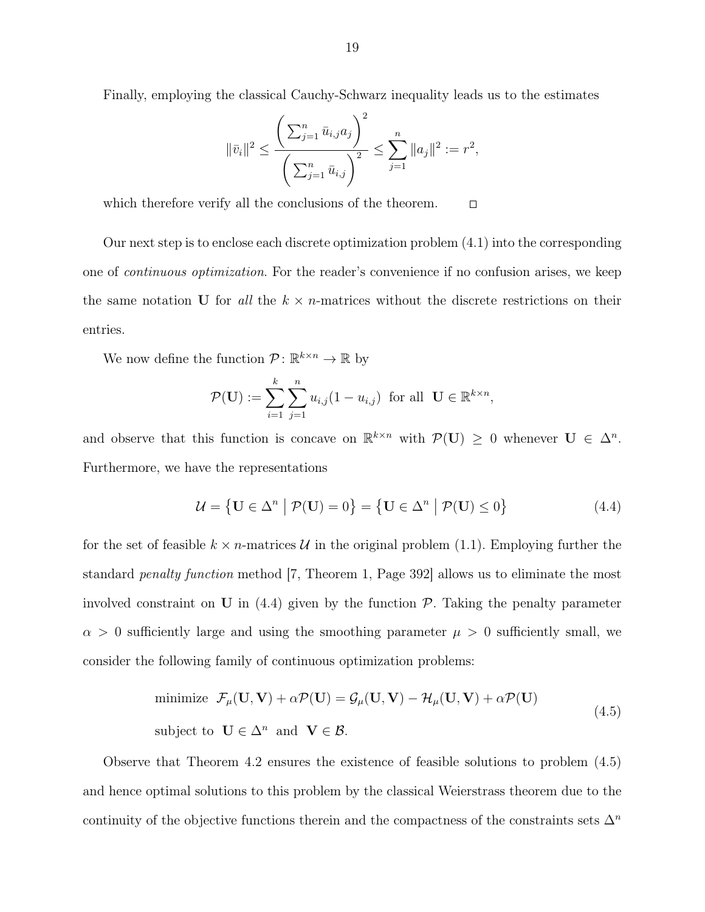Finally, employing the classical Cauchy-Schwarz inequality leads us to the estimates

$$
\|\bar{v}_i\|^2 \le \frac{\left(\sum_{j=1}^n \bar{u}_{i,j}a_j\right)^2}{\left(\sum_{j=1}^n \bar{u}_{i,j}\right)^2} \le \sum_{j=1}^n \|a_j\|^2 := r^2,
$$

which therefore verify all the conclusions of the theorem.  $\Box$ 

Our next step is to enclose each discrete optimization problem (4.1) into the corresponding one of continuous optimization. For the reader's convenience if no confusion arises, we keep the same notation U for all the  $k \times n$ -matrices without the discrete restrictions on their entries.

We now define the function  $\mathcal{P} \colon \mathbb{R}^{k \times n} \to \mathbb{R}$  by

$$
\mathcal{P}(\mathbf{U}) := \sum_{i=1}^k \sum_{j=1}^n u_{i,j} (1 - u_{i,j}) \text{ for all } \mathbf{U} \in \mathbb{R}^{k \times n},
$$

and observe that this function is concave on  $\mathbb{R}^{k \times n}$  with  $\mathcal{P}(\mathbf{U}) \geq 0$  whenever  $\mathbf{U} \in \Delta^n$ . Furthermore, we have the representations

$$
\mathcal{U} = \{ \mathbf{U} \in \Delta^n \mid \mathcal{P}(\mathbf{U}) = 0 \} = \{ \mathbf{U} \in \Delta^n \mid \mathcal{P}(\mathbf{U}) \le 0 \}
$$
(4.4)

for the set of feasible  $k \times n$ -matrices U in the original problem (1.1). Employing further the standard penalty function method [7, Theorem 1, Page 392] allows us to eliminate the most involved constraint on U in  $(4.4)$  given by the function P. Taking the penalty parameter  $\alpha > 0$  sufficiently large and using the smoothing parameter  $\mu > 0$  sufficiently small, we consider the following family of continuous optimization problems:

minimize 
$$
\mathcal{F}_{\mu}(\mathbf{U}, \mathbf{V}) + \alpha \mathcal{P}(\mathbf{U}) = \mathcal{G}_{\mu}(\mathbf{U}, \mathbf{V}) - \mathcal{H}_{\mu}(\mathbf{U}, \mathbf{V}) + \alpha \mathcal{P}(\mathbf{U})
$$
  
subject to  $\mathbf{U} \in \Delta^n$  and  $\mathbf{V} \in \mathcal{B}$ . (4.5)

Observe that Theorem 4.2 ensures the existence of feasible solutions to problem (4.5) and hence optimal solutions to this problem by the classical Weierstrass theorem due to the continuity of the objective functions therein and the compactness of the constraints sets  $\Delta^n$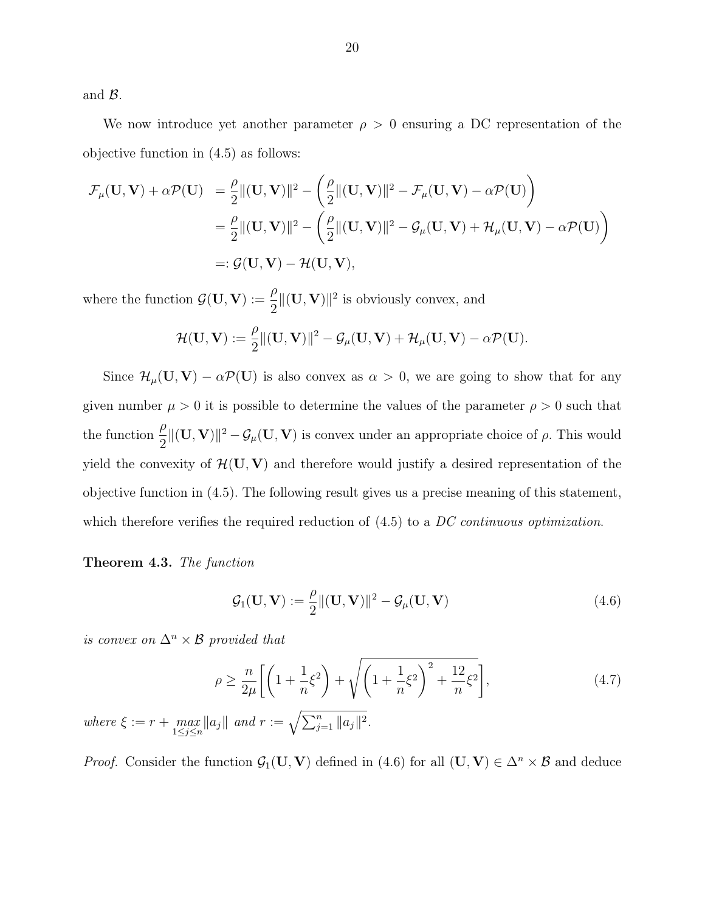and B.

We now introduce yet another parameter  $\rho > 0$  ensuring a DC representation of the objective function in (4.5) as follows:

$$
\mathcal{F}_{\mu}(\mathbf{U}, \mathbf{V}) + \alpha \mathcal{P}(\mathbf{U}) = \frac{\rho}{2} ||(\mathbf{U}, \mathbf{V})||^2 - \left(\frac{\rho}{2} ||(\mathbf{U}, \mathbf{V})||^2 - \mathcal{F}_{\mu}(\mathbf{U}, \mathbf{V}) - \alpha \mathcal{P}(\mathbf{U})\right)
$$
  
\n
$$
= \frac{\rho}{2} ||(\mathbf{U}, \mathbf{V})||^2 - \left(\frac{\rho}{2} ||(\mathbf{U}, \mathbf{V})||^2 - \mathcal{G}_{\mu}(\mathbf{U}, \mathbf{V}) + \mathcal{H}_{\mu}(\mathbf{U}, \mathbf{V}) - \alpha \mathcal{P}(\mathbf{U})\right)
$$
  
\n
$$
= : \mathcal{G}(\mathbf{U}, \mathbf{V}) - \mathcal{H}(\mathbf{U}, \mathbf{V}),
$$

where the function  $\mathcal{G}(\mathbf{U}, \mathbf{V}) := \frac{\rho}{2}$ 2  $\Vert (U, V) \Vert^2$  is obviously convex, and

$$
\mathcal{H}(\mathbf{U},\mathbf{V}):=\frac{\rho}{2}\|(\mathbf{U},\mathbf{V})\|^2-\mathcal{G}_\mu(\mathbf{U},\mathbf{V})+\mathcal{H}_\mu(\mathbf{U},\mathbf{V})-\alpha\mathcal{P}(\mathbf{U}).
$$

Since  $\mathcal{H}_{\mu}(\mathbf{U}, \mathbf{V}) - \alpha \mathcal{P}(\mathbf{U})$  is also convex as  $\alpha > 0$ , we are going to show that for any given number  $\mu > 0$  it is possible to determine the values of the parameter  $\rho > 0$  such that the function  $\frac{\rho}{2}$ 2  $\|(U, V)\|^2 - \mathcal{G}_{\mu}(U, V)\)$  is convex under an appropriate choice of  $\rho$ . This would yield the convexity of  $\mathcal{H}(\mathbf{U}, \mathbf{V})$  and therefore would justify a desired representation of the objective function in (4.5). The following result gives us a precise meaning of this statement, which therefore verifies the required reduction of  $(4.5)$  to a DC continuous optimization.

#### Theorem 4.3. The function

$$
\mathcal{G}_1(\mathbf{U}, \mathbf{V}) := \frac{\rho}{2} ||(\mathbf{U}, \mathbf{V})||^2 - \mathcal{G}_{\mu}(\mathbf{U}, \mathbf{V})
$$
\n(4.6)

is convex on  $\Delta^n \times \mathcal{B}$  provided that

where  $\xi := r + \max_{1 \leq j \leq n}$ 

$$
\rho \ge \frac{n}{2\mu} \left[ \left( 1 + \frac{1}{n} \xi^2 \right) + \sqrt{\left( 1 + \frac{1}{n} \xi^2 \right)^2 + \frac{12}{n} \xi^2} \right],
$$
\n(4.7)\n
$$
\|a_j\| \text{ and } r := \sqrt{\sum_{j=1}^n \|a_j\|^2}.
$$

*Proof.* Consider the function  $G_1(U, V)$  defined in (4.6) for all  $(U, V) \in \Delta^n \times \mathcal{B}$  and deduce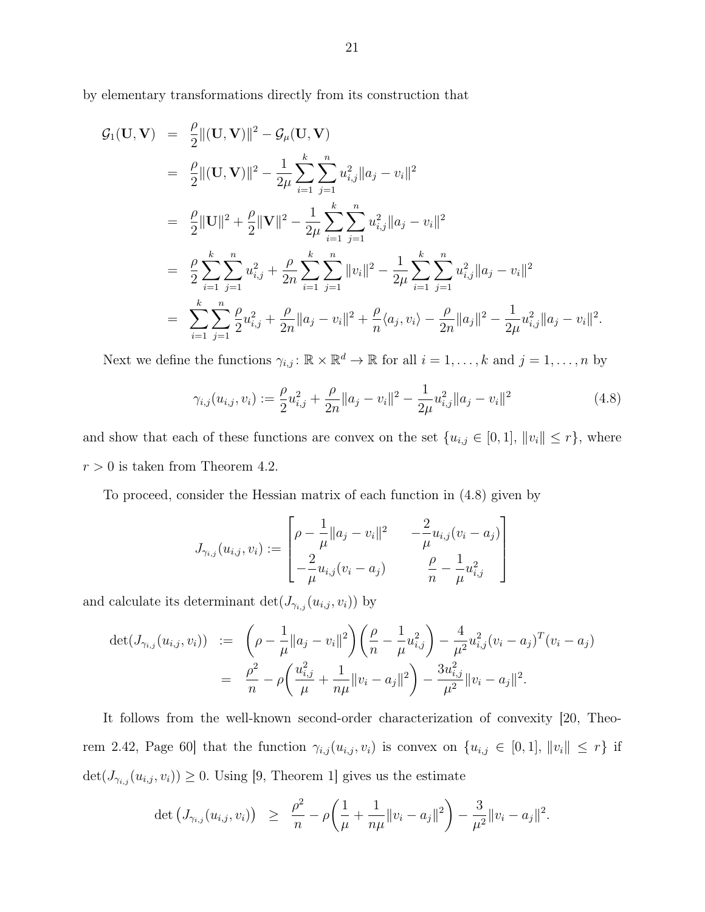by elementary transformations directly from its construction that

$$
G_1(\mathbf{U}, \mathbf{V}) = \frac{\rho}{2} ||(\mathbf{U}, \mathbf{V})||^2 - \mathcal{G}_{\mu}(\mathbf{U}, \mathbf{V})
$$
  
\n
$$
= \frac{\rho}{2} ||(\mathbf{U}, \mathbf{V})||^2 - \frac{1}{2\mu} \sum_{i=1}^k \sum_{j=1}^n u_{i,j}^2 ||a_j - v_i||^2
$$
  
\n
$$
= \frac{\rho}{2} ||\mathbf{U}||^2 + \frac{\rho}{2} ||\mathbf{V}||^2 - \frac{1}{2\mu} \sum_{i=1}^k \sum_{j=1}^n u_{i,j}^2 ||a_j - v_i||^2
$$
  
\n
$$
= \frac{\rho}{2} \sum_{i=1}^k \sum_{j=1}^n u_{i,j}^2 + \frac{\rho}{2n} \sum_{i=1}^k \sum_{j=1}^n ||v_i||^2 - \frac{1}{2\mu} \sum_{i=1}^k \sum_{j=1}^n u_{i,j}^2 ||a_j - v_i||^2
$$
  
\n
$$
= \sum_{i=1}^k \sum_{j=1}^n \frac{\rho}{2} u_{i,j}^2 + \frac{\rho}{2n} ||a_j - v_i||^2 + \frac{\rho}{n} \langle a_j, v_i \rangle - \frac{\rho}{2n} ||a_j||^2 - \frac{1}{2\mu} u_{i,j}^2 ||a_j - v_i||^2.
$$

Next we define the functions  $\gamma_{i,j} : \mathbb{R} \times \mathbb{R}^d \to \mathbb{R}$  for all  $i = 1, \ldots, k$  and  $j = 1, \ldots, n$  by

$$
\gamma_{i,j}(u_{i,j}, v_i) := \frac{\rho}{2} u_{i,j}^2 + \frac{\rho}{2n} \|a_j - v_i\|^2 - \frac{1}{2\mu} u_{i,j}^2 \|a_j - v_i\|^2 \tag{4.8}
$$

and show that each of these functions are convex on the set  $\{u_{i,j} \in [0,1], ||v_i|| \leq r\}$ , where  $r>0$  is taken from Theorem 4.2.

To proceed, consider the Hessian matrix of each function in (4.8) given by

$$
J_{\gamma_{i,j}}(u_{i,j}, v_i) := \begin{bmatrix} \rho - \frac{1}{\mu} ||a_j - v_i||^2 & -\frac{2}{\mu} u_{i,j}(v_i - a_j) \\ -\frac{2}{\mu} u_{i,j}(v_i - a_j) & \frac{\rho}{n} - \frac{1}{\mu} u_{i,j}^2 \end{bmatrix}
$$

and calculate its determinant  $\det(J_{\gamma_{i,j}}(u_{i,j}, v_i))$  by

$$
\det(J_{\gamma_{i,j}}(u_{i,j}, v_i)) := \left(\rho - \frac{1}{\mu} \|a_j - v_i\|^2\right) \left(\frac{\rho}{n} - \frac{1}{\mu} u_{i,j}^2\right) - \frac{4}{\mu^2} u_{i,j}^2 (v_i - a_j)^T (v_i - a_j)
$$

$$
= \frac{\rho^2}{n} - \rho \left(\frac{u_{i,j}^2}{\mu} + \frac{1}{n\mu} \|v_i - a_j\|^2\right) - \frac{3u_{i,j}^2}{\mu^2} \|v_i - a_j\|^2.
$$

It follows from the well-known second-order characterization of convexity [20, Theorem 2.42, Page 60] that the function  $\gamma_{i,j}(u_{i,j}, v_i)$  is convex on  $\{u_{i,j} \in [0,1], ||v_i|| \leq r\}$  if  $\det(J_{\gamma_{i,j}}(u_{i,j}, v_i)) \geq 0$ . Using [9, Theorem 1] gives us the estimate

$$
\det (J_{\gamma_{i,j}}(u_{i,j},v_i)) \geq \frac{\rho^2}{n} - \rho \bigg(\frac{1}{\mu} + \frac{1}{n\mu} ||v_i - a_j||^2\bigg) - \frac{3}{\mu^2} ||v_i - a_j||^2.
$$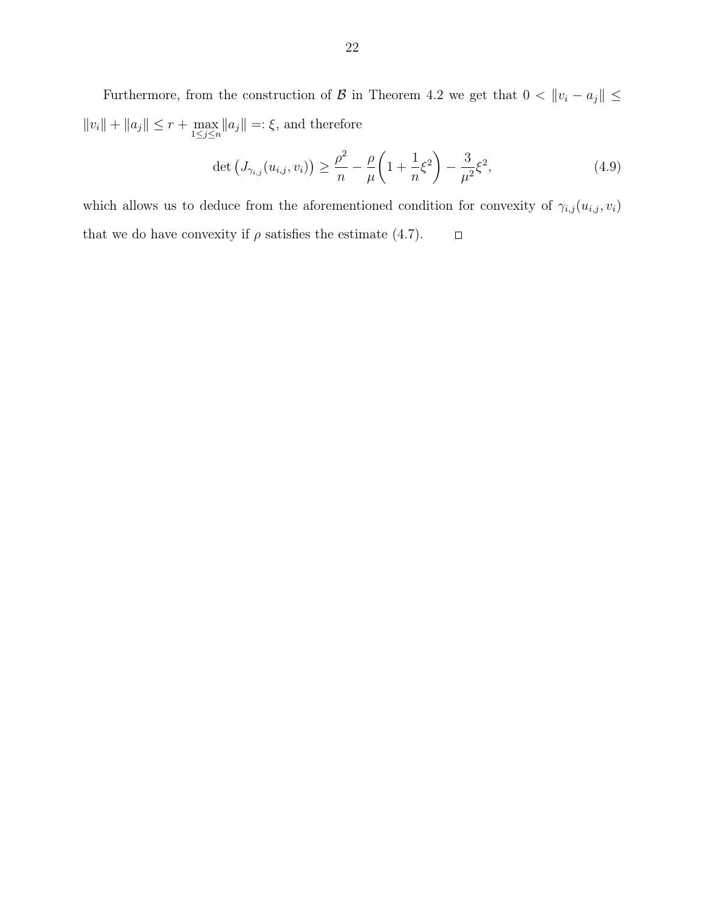Furthermore, from the construction of B in Theorem 4.2 we get that  $0 < ||v_i - a_j|| \le$  $||v_i|| + ||a_j|| \le r + \max_{1 \le j \le n} ||a_j|| =: \xi$ , and therefore

$$
\det \left( J_{\gamma_{i,j}}(u_{i,j}, v_i) \right) \ge \frac{\rho^2}{n} - \frac{\rho}{\mu} \left( 1 + \frac{1}{n} \xi^2 \right) - \frac{3}{\mu^2} \xi^2,
$$
\n(4.9)

which allows us to deduce from the aforementioned condition for convexity of  $\gamma_{i,j}(u_{i,j}, v_i)$ that we do have convexity if  $\rho$  satisfies the estimate (4.7).  $\Box$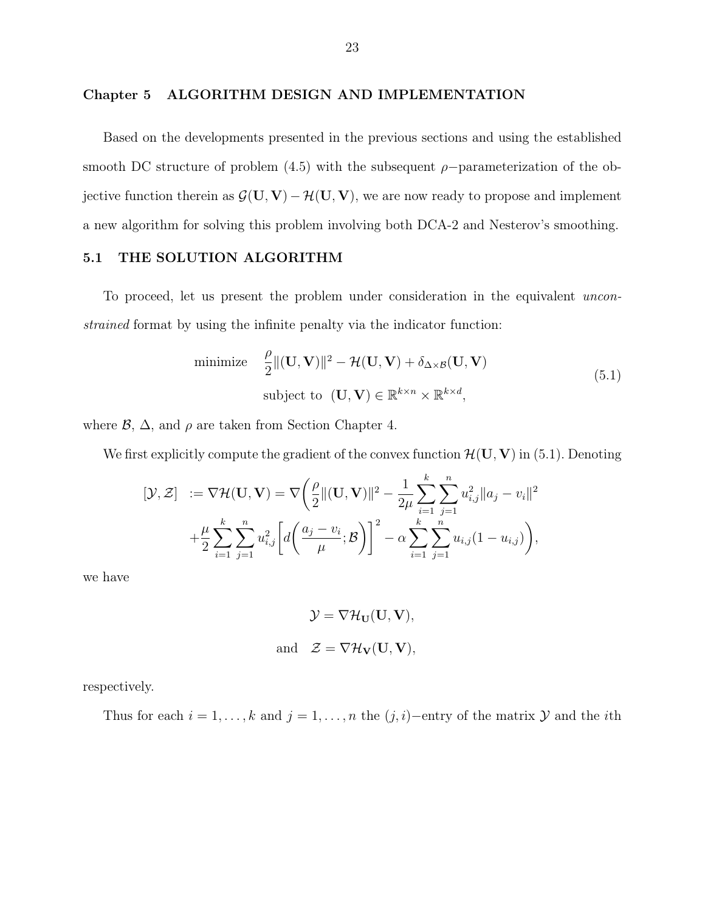#### Chapter 5 ALGORITHM DESIGN AND IMPLEMENTATION

Based on the developments presented in the previous sections and using the established smooth DC structure of problem (4.5) with the subsequent  $\rho$ -parameterization of the objective function therein as  $\mathcal{G}(\mathbf{U}, \mathbf{V}) - \mathcal{H}(\mathbf{U}, \mathbf{V})$ , we are now ready to propose and implement a new algorithm for solving this problem involving both DCA-2 and Nesterov's smoothing.

#### 5.1 THE SOLUTION ALGORITHM

To proceed, let us present the problem under consideration in the equivalent unconstrained format by using the infinite penalty via the indicator function:

minimize 
$$
\frac{\rho}{2} ||(\mathbf{U}, \mathbf{V})||^2 - \mathcal{H}(\mathbf{U}, \mathbf{V}) + \delta_{\Delta \times \mathcal{B}}(\mathbf{U}, \mathbf{V})
$$
  
subject to  $(\mathbf{U}, \mathbf{V}) \in \mathbb{R}^{k \times n} \times \mathbb{R}^{k \times d}$ , (5.1)

where  $\mathcal{B}, \Delta$ , and  $\rho$  are taken from Section Chapter 4.

We first explicitly compute the gradient of the convex function  $\mathcal{H}(\mathbf{U}, \mathbf{V})$  in (5.1). Denoting

$$
[\mathcal{Y}, \mathcal{Z}] := \nabla \mathcal{H}(\mathbf{U}, \mathbf{V}) = \nabla \left( \frac{\rho}{2} ||(\mathbf{U}, \mathbf{V})||^2 - \frac{1}{2\mu} \sum_{i=1}^k \sum_{j=1}^n u_{i,j}^2 ||a_j - v_i||^2 + \frac{\mu}{2} \sum_{i=1}^k \sum_{j=1}^n u_{i,j}^2 \left[ d \left( \frac{a_j - v_i}{\mu}; \mathcal{B} \right) \right]^2 - \alpha \sum_{i=1}^k \sum_{j=1}^n u_{i,j} (1 - u_{i,j}) \right),
$$

we have

$$
\mathcal{Y} = \nabla \mathcal{H}_{\mathbf{U}}(\mathbf{U}, \mathbf{V}),
$$
  
and 
$$
\mathcal{Z} = \nabla \mathcal{H}_{\mathbf{V}}(\mathbf{U}, \mathbf{V}),
$$

respectively.

Thus for each  $i = 1, \ldots, k$  and  $j = 1, \ldots, n$  the  $(j, i)$ −entry of the matrix  $\mathcal Y$  and the *i*th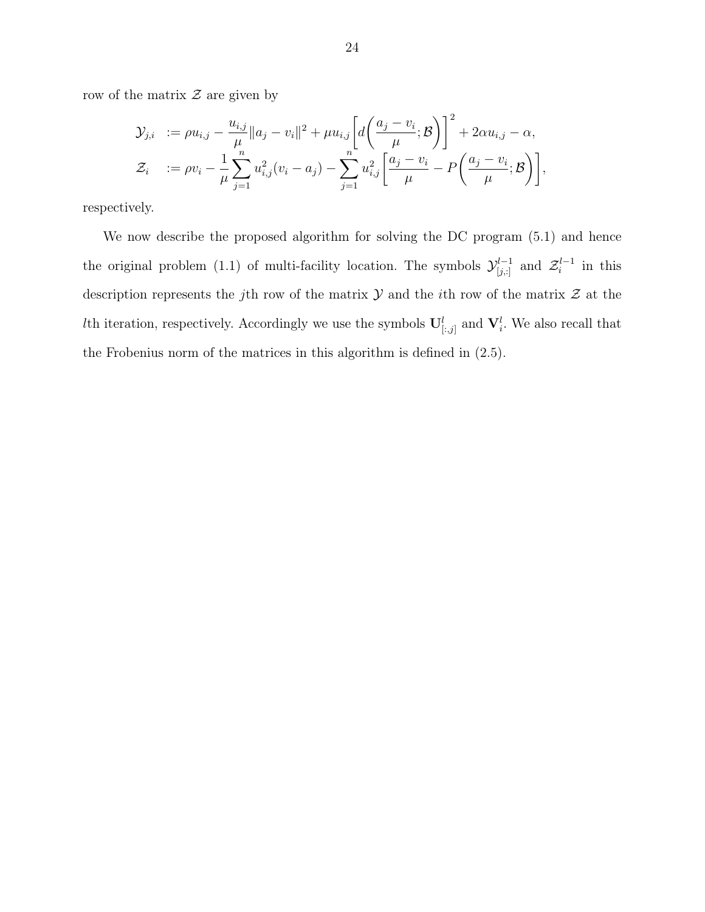row of the matrix  $\mathcal Z$  are given by

$$
\mathcal{Y}_{j,i} := \rho u_{i,j} - \frac{u_{i,j}}{\mu} \|a_j - v_i\|^2 + \mu u_{i,j} \left[ d \left( \frac{a_j - v_i}{\mu}; \mathcal{B} \right) \right]^2 + 2 \alpha u_{i,j} - \alpha,
$$
  

$$
\mathcal{Z}_i := \rho v_i - \frac{1}{\mu} \sum_{j=1}^n u_{i,j}^2 (v_i - a_j) - \sum_{j=1}^n u_{i,j}^2 \left[ \frac{a_j - v_i}{\mu} - P \left( \frac{a_j - v_i}{\mu}; \mathcal{B} \right) \right],
$$

respectively.

We now describe the proposed algorithm for solving the DC program (5.1) and hence the original problem (1.1) of multi-facility location. The symbols  $\mathcal{Y}_{[j,:]}^{l-1}$  and  $\mathcal{Z}_i^{l-1}$  $i^{l-1}$  in this description represents the jth row of the matrix  $\mathcal Y$  and the *i*th row of the matrix  $\mathcal Z$  at the *lth* iteration, respectively. Accordingly we use the symbols  $\mathbf{U}_{[:,j]}^l$  and  $\mathbf{V}_i^l$ . We also recall that the Frobenius norm of the matrices in this algorithm is defined in (2.5).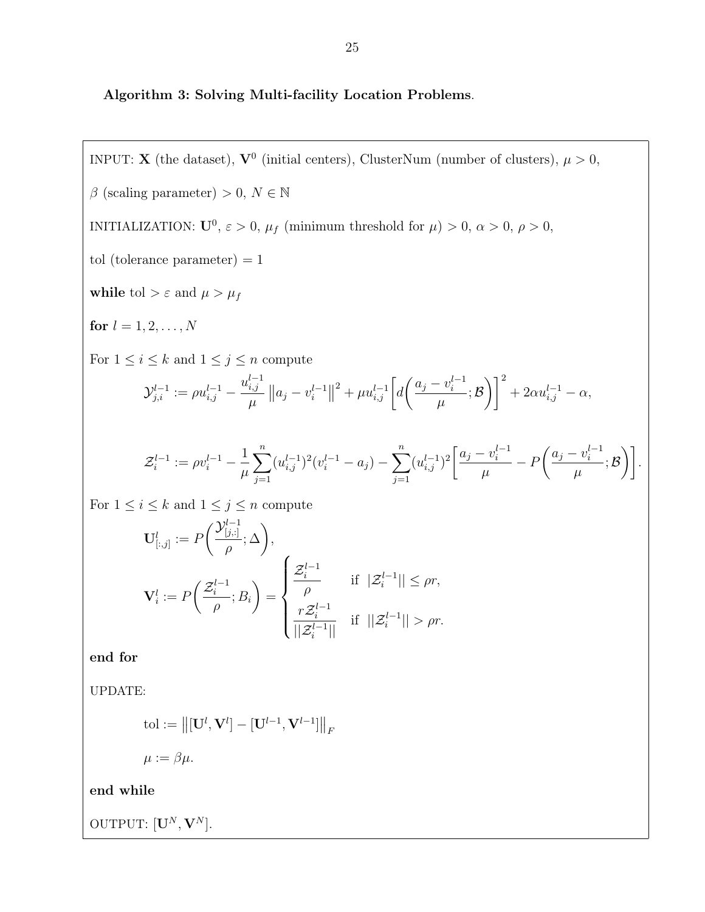Algorithm 3: Solving Multi-facility Location Problems.

INPUT: **X** (the dataset),  $V^0$  (initial centers), ClusterNum (number of clusters),  $\mu > 0$ ,  $\beta$  (scaling parameter) > 0,  $N \in \mathbb{N}$ INITIALIZATION:  $U^0$ ,  $\varepsilon > 0$ ,  $\mu_f$  (minimum threshold for  $\mu$ )  $> 0$ ,  $\alpha > 0$ ,  $\rho > 0$ , tol (tolerance parameter)  $= 1$ while tol >  $\varepsilon$  and  $\mu > \mu_f$ for  $l = 1, 2, ..., N$ For  $1\leq i\leq k$  and  $1\leq j\leq n$  compute  $\mathcal{Y}_{j,i}^{l-1} := \rho u_{i,j}^{l-1}$   $u_{i,i}^{l-1}$ i,j  $\mu$  $||a_j - v_i^{l-1}$  $\binom{l-1}{i}$  $2 + \mu u_{i,j}^{l-1} \left[ d \right]$  $\int a_j - v_i^{l-1}$ i  $\mu$ ; B  $\setminus$ <sup>2</sup>  $+ 2\alpha u_{i,j}^{l-1} - \alpha,$  $\mathcal{Z}_i^{l-1}$  $\mu_i^{l-1} := \rho v_i^{l-1} - \frac{1}{n}$  $\mu$  $\sum_{n=1}^{\infty}$  $j=1$  $(u_{i,j}^{l-1})^2(v_i^{l-1} - a_j) - \sum_{i=1}^n$  $j=1$  $(u_{i,j}^{l-1})^2 \left[ \frac{a_j - v_i^{l-1}}{u_i} \right]$ i  $\mu$  $- P$  $\int a_j - v_i^{l-1}$ i  $\mu$  $;\mathcal{B}$ ). For  $1 \leq i \leq k$  and  $1 \leq j \leq n$  compute  $\mathbf{U}^l_{[:,j]} := F$  $\bigcap_{[j,:]}^{l-1}$  $[j, :]$ ρ  $;\Delta$ ,  ${\bf V}_i^l:=F$  $\mathcal{Z}_i^{l-1}$ i  $\frac{i}{\rho}$ ;  $B_i$  $\setminus$ =  $\sqrt{ }$  $\int$  $\overline{\mathcal{L}}$  $\mathcal{Z}_i^{l-1}$ i ρ if  $|\mathcal{Z}_i^{l-1}|| \leq \rho r$ ,  $r\mathcal{Z}_i^{l-1}$ i  $||\mathcal{Z}_i^{l-1}||$ if  $||\mathcal{Z}_i^{l-1}|| > \rho r$ .

end for

UPDATE:

$$
\text{tol} := \left\| [\mathbf{U}^l, \mathbf{V}^l] - [\mathbf{U}^{l-1}, \mathbf{V}^{l-1}] \right\|_F
$$

$$
\mu := \beta \mu.
$$

end while

OUTPUT:  $[\mathbf{U}^N, \mathbf{V}^N]$ .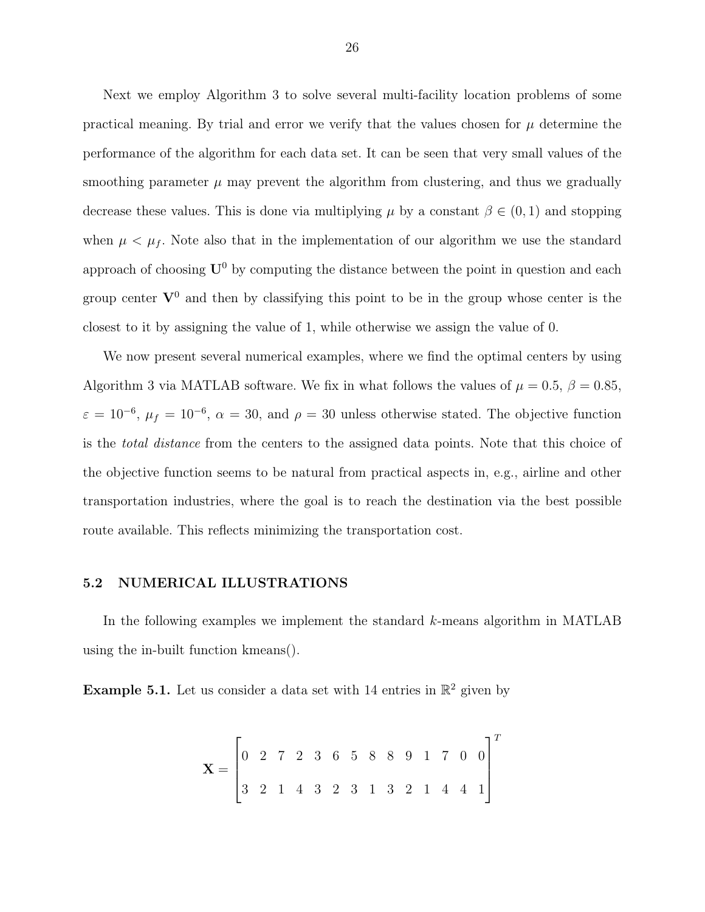Next we employ Algorithm 3 to solve several multi-facility location problems of some practical meaning. By trial and error we verify that the values chosen for  $\mu$  determine the performance of the algorithm for each data set. It can be seen that very small values of the smoothing parameter  $\mu$  may prevent the algorithm from clustering, and thus we gradually decrease these values. This is done via multiplying  $\mu$  by a constant  $\beta \in (0,1)$  and stopping when  $\mu < \mu_f$ . Note also that in the implementation of our algorithm we use the standard approach of choosing  $U^0$  by computing the distance between the point in question and each group center  $V^0$  and then by classifying this point to be in the group whose center is the closest to it by assigning the value of 1, while otherwise we assign the value of 0.

We now present several numerical examples, where we find the optimal centers by using Algorithm 3 via MATLAB software. We fix in what follows the values of  $\mu = 0.5$ ,  $\beta = 0.85$ ,  $\varepsilon = 10^{-6}$ ,  $\mu_f = 10^{-6}$ ,  $\alpha = 30$ , and  $\rho = 30$  unless otherwise stated. The objective function is the total distance from the centers to the assigned data points. Note that this choice of the objective function seems to be natural from practical aspects in, e.g., airline and other transportation industries, where the goal is to reach the destination via the best possible route available. This reflects minimizing the transportation cost.

#### 5.2 NUMERICAL ILLUSTRATIONS

In the following examples we implement the standard  $k$ -means algorithm in MATLAB using the in-built function kmeans().

**Example 5.1.** Let us consider a data set with 14 entries in  $\mathbb{R}^2$  given by

$$
\mathbf{X} = \begin{bmatrix} 0 & 2 & 7 & 2 & 3 & 6 & 5 & 8 & 8 & 9 & 1 & 7 & 0 & 0 \\ 3 & 2 & 1 & 4 & 3 & 2 & 3 & 1 & 3 & 2 & 1 & 4 & 4 & 1 \end{bmatrix}^{T}
$$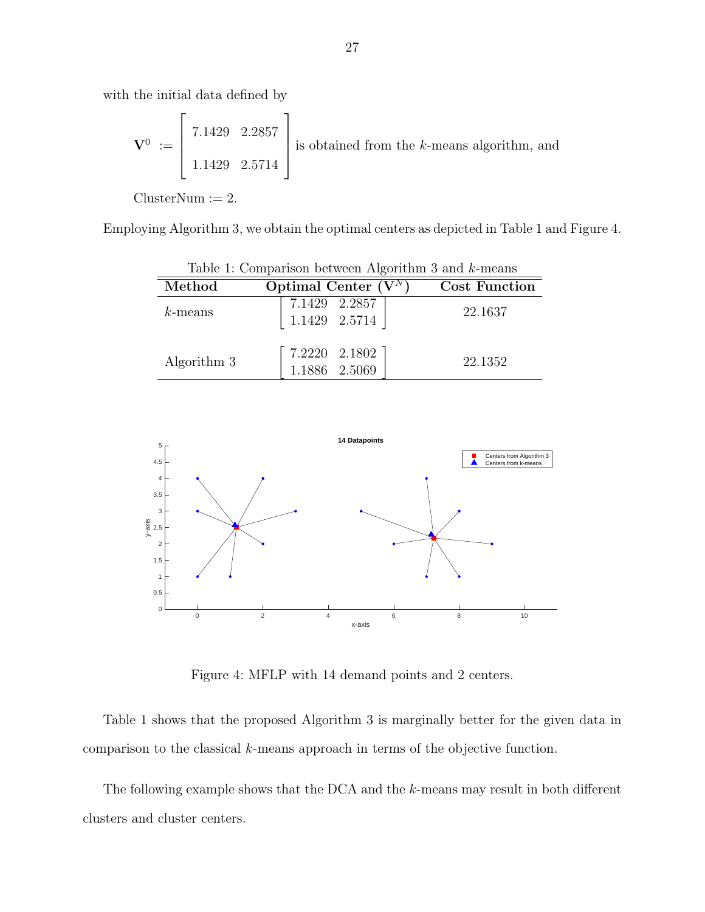with the initial data defined by

$$
\mathbf{V}^0 := \begin{bmatrix} 7.1429 & 2.2857 \\ 1.1429 & 2.5714 \end{bmatrix}
$$
 is obtained from the *k*-means algorithm, and

 $ClusterNum := 2.$ 

Employing Algorithm 3, we obtain the optimal centers as depicted in Table 1 and Figure 4.

| Table 1: Comparison between Algorithm 3 and $k$ -means |                                                                                   |                      |
|--------------------------------------------------------|-----------------------------------------------------------------------------------|----------------------|
| Method                                                 | Optimal Center $(V^N)$                                                            | <b>Cost Function</b> |
| $k$ -means                                             | $\left[ \begin{array}{cc} 7.1429 & 2.2857 \\ 1.1429 & 2.5714 \end{array} \right]$ | 22.1637              |
| Algorithm 3                                            | $7.2220$ $2.1802$<br>$1.1886$ $2.5069$                                            | 22.1352              |

| Algorithm 3 | $\begin{bmatrix} 7.2220 & 2.1802 \end{bmatrix}$<br>1.1886 2.5069 | 22.1352 |
|-------------|------------------------------------------------------------------|---------|
|             |                                                                  |         |



Figure 4: MFLP with 14 demand points and 2 centers.

Table 1 shows that the proposed Algorithm 3 is marginally better for the given data in comparison to the classical k-means approach in terms of the objective function.

The following example shows that the DCA and the k-means may result in both different clusters and cluster centers.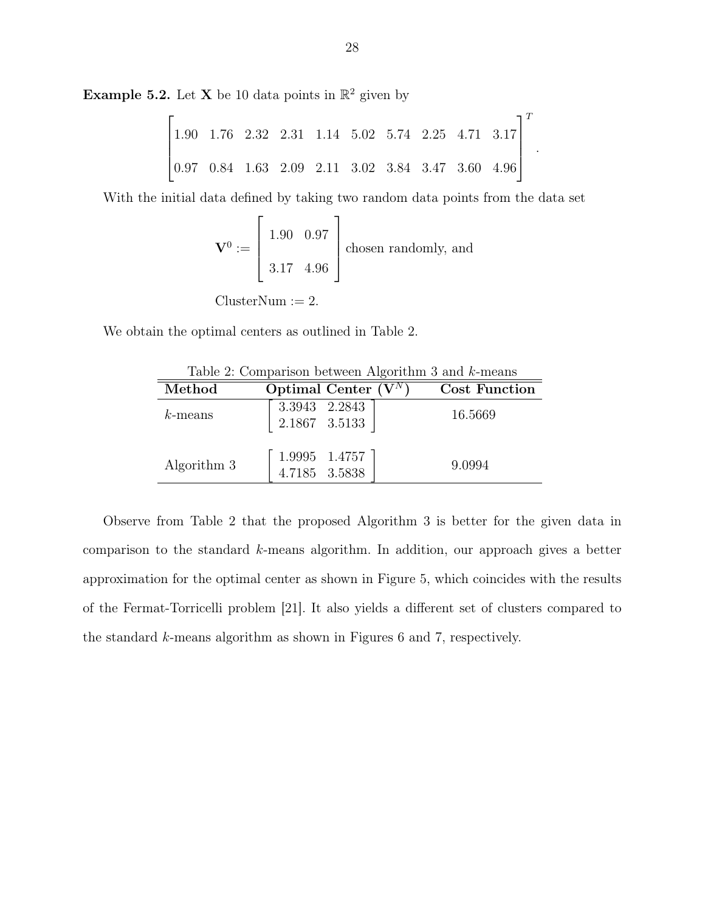**Example 5.2.** Let **X** be 10 data points in  $\mathbb{R}^2$  given by

$$
\begin{bmatrix} 1.90 & 1.76 & 2.32 & 2.31 & 1.14 & 5.02 & 5.74 & 2.25 & 4.71 & 3.17 \\ 0.97 & 0.84 & 1.63 & 2.09 & 2.11 & 3.02 & 3.84 & 3.47 & 3.60 & 4.96 \end{bmatrix}^T
$$

.

With the initial data defined by taking two random data points from the data set

$$
\mathbf{V}^0 := \begin{bmatrix} 1.90 & 0.97 \\ 3.17 & 4.96 \end{bmatrix}
$$
 chosen randomly, and  
ClusterNum := 2.

We obtain the optimal centers as outlined in Table 2.

| Lable 2. Comparison between Algorithmi 5 and N-means |                                  |                      |
|------------------------------------------------------|----------------------------------|----------------------|
| Method                                               | Optimal Center $(V^N)$           | <b>Cost Function</b> |
| $k$ -means                                           | 3.3943 2.2843<br>$2.1867$ 3.5133 | 16.5669              |
| Algorithm 3                                          | 1.9995 1.4757<br>4.7185 3.5838   | 9.0994               |

Table 2: Comparison between Algorithm 3 and k-means

Observe from Table 2 that the proposed Algorithm 3 is better for the given data in comparison to the standard k-means algorithm. In addition, our approach gives a better approximation for the optimal center as shown in Figure 5, which coincides with the results of the Fermat-Torricelli problem [21]. It also yields a different set of clusters compared to the standard k-means algorithm as shown in Figures 6 and 7, respectively.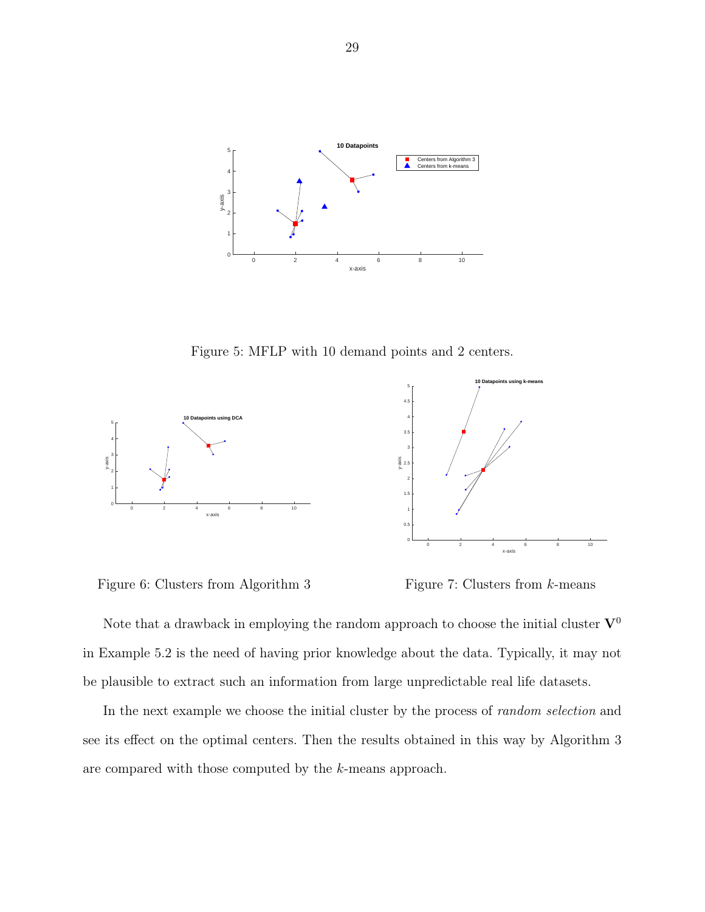

Figure 5: MFLP with 10 demand points and 2 centers.



Figure 6: Clusters from Algorithm 3

Figure 7: Clusters from k-means

Note that a drawback in employing the random approach to choose the initial cluster  $V^0$ in Example 5.2 is the need of having prior knowledge about the data. Typically, it may not be plausible to extract such an information from large unpredictable real life datasets.

In the next example we choose the initial cluster by the process of *random selection* and see its effect on the optimal centers. Then the results obtained in this way by Algorithm 3 are compared with those computed by the k-means approach.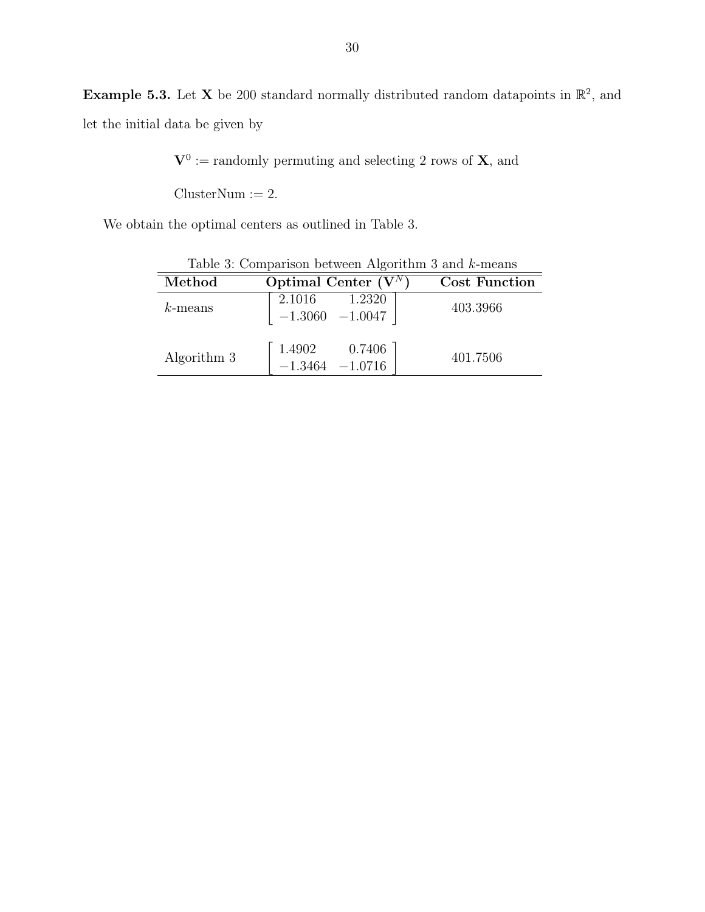**Example 5.3.** Let **X** be 200 standard normally distributed random datapoints in  $\mathbb{R}^2$ , and let the initial data be given by

 $V^0$  := randomly permuting and selecting 2 rows of **X**, and

 $ClusterNum := 2.$ 

We obtain the optimal centers as outlined in Table 3.

|             | Table 3: Comparison between Algorithm 3 and $k$ -means                              |               |
|-------------|-------------------------------------------------------------------------------------|---------------|
| Method      | Optimal Center $(V^N)$                                                              | Cost Function |
| $k$ -means  | $\left[ \begin{array}{cc} 2.1016 & 1.2320 \\ -1.3060 & -1.0047 \end{array} \right]$ | 403.3966      |
| Algorithm 3 | $\left[\begin{array}{ccc} 1.4902 & 0.7406 \\ -1.3464 & -1.0716 \end{array}\right]$  | 401.7506      |

 $T<sub>1</sub>$  3: Comparison between Algorithm  $3 \times 11$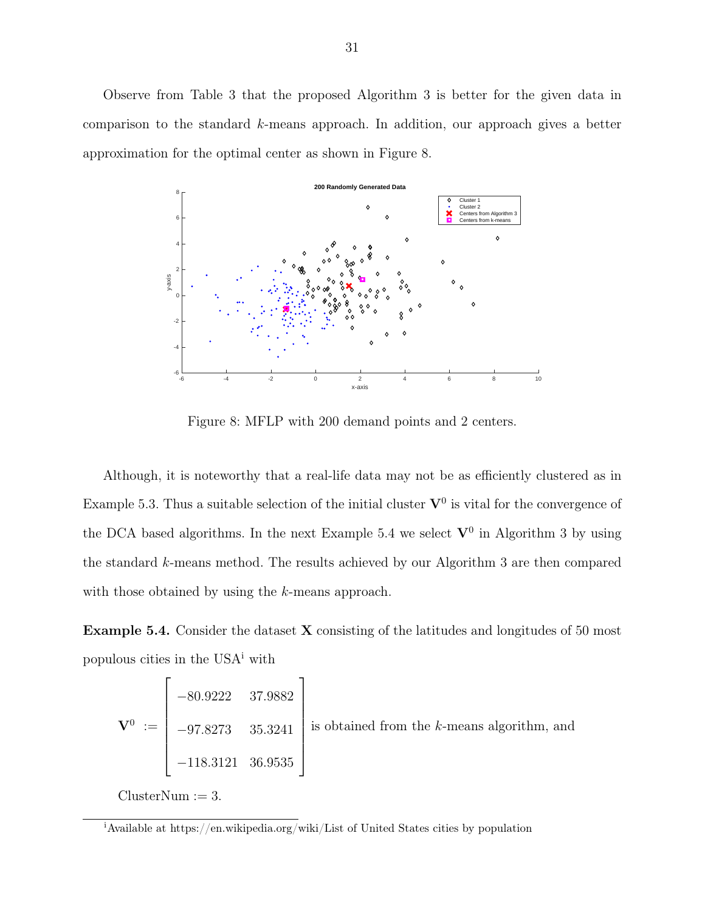Observe from Table 3 that the proposed Algorithm 3 is better for the given data in comparison to the standard k-means approach. In addition, our approach gives a better approximation for the optimal center as shown in Figure 8.



Figure 8: MFLP with 200 demand points and 2 centers.

Although, it is noteworthy that a real-life data may not be as efficiently clustered as in Example 5.3. Thus a suitable selection of the initial cluster  $V^0$  is vital for the convergence of the DCA based algorithms. In the next Example 5.4 we select  $\mathbf{V}^0$  in Algorithm 3 by using the standard k-means method. The results achieved by our Algorithm 3 are then compared with those obtained by using the k-means approach.

**Example 5.4.** Consider the dataset  $X$  consisting of the latitudes and longitudes of 50 most populous cities in the USA<sup>i</sup> with

$$
\mathbf{V}^{0} := \begin{bmatrix} -80.9222 & 37.9882 \\ -97.8273 & 35.3241 \\ -118.3121 & 36.9535 \end{bmatrix}
$$
 is obtained from the *k*-means algorithm, and

 $ClusterNum := 3.$ 

<sup>i</sup>Available at https://en.wikipedia.org/wiki/List of United States cities by population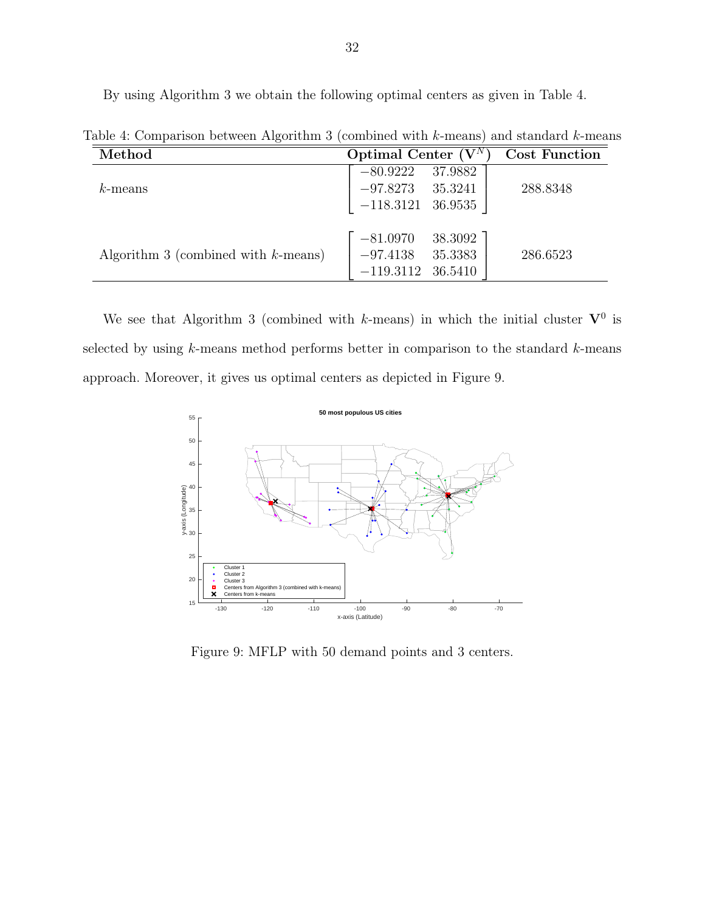By using Algorithm 3 we obtain the following optimal centers as given in Table 4.

| Method                                 | Optimal Center $(V^N)$                                                   | <b>Cost Function</b> |
|----------------------------------------|--------------------------------------------------------------------------|----------------------|
| $k$ -means                             | 37.9882<br>$-80.9222$<br>$-97.8273$<br>35.3241                           | 288.8348             |
|                                        | $-118.3121$ 36.9535                                                      |                      |
| Algorithm 3 (combined with $k$ -means) | 38.3092<br>$-81.0970$<br>35.3383<br>$-97.4138$<br>$-119.3112$<br>36.5410 | 286.6523             |

Table 4: Comparison between Algorithm 3 (combined with k-means) and standard k-means

We see that Algorithm 3 (combined with k-means) in which the initial cluster  $V^0$  is selected by using  $k$ -means method performs better in comparison to the standard  $k$ -means approach. Moreover, it gives us optimal centers as depicted in Figure 9.



Figure 9: MFLP with 50 demand points and 3 centers.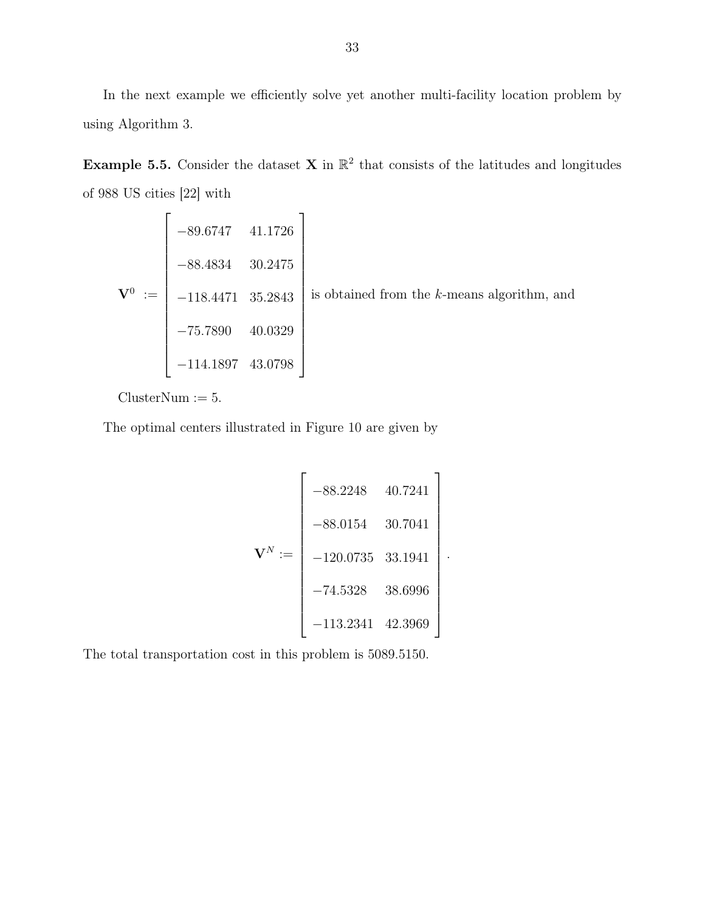In the next example we efficiently solve yet another multi-facility location problem by using Algorithm 3.

**Example 5.5.** Consider the dataset **X** in  $\mathbb{R}^2$  that consists of the latitudes and longitudes of 988 US cities [22] with

$$
\mathbf{V}^{0} := \begin{bmatrix} -89.6747 & 41.1726 \\ -88.4834 & 30.2475 \\ -118.4471 & 35.2843 \\ -75.7890 & 40.0329 \\ -114.1897 & 43.0798 \end{bmatrix}
$$
 is obtained from the *k*-means algorithm, and

 $ClusterNum := 5.$ 

The optimal centers illustrated in Figure 10 are given by

$$
\mathbf{V}^{N} := \begin{bmatrix} -88.2248 & 40.7241 \\ -88.0154 & 30.7041 \\ -120.0735 & 33.1941 \\ -74.5328 & 38.6996 \\ -113.2341 & 42.3969 \end{bmatrix}.
$$

The total transportation cost in this problem is 5089.5150.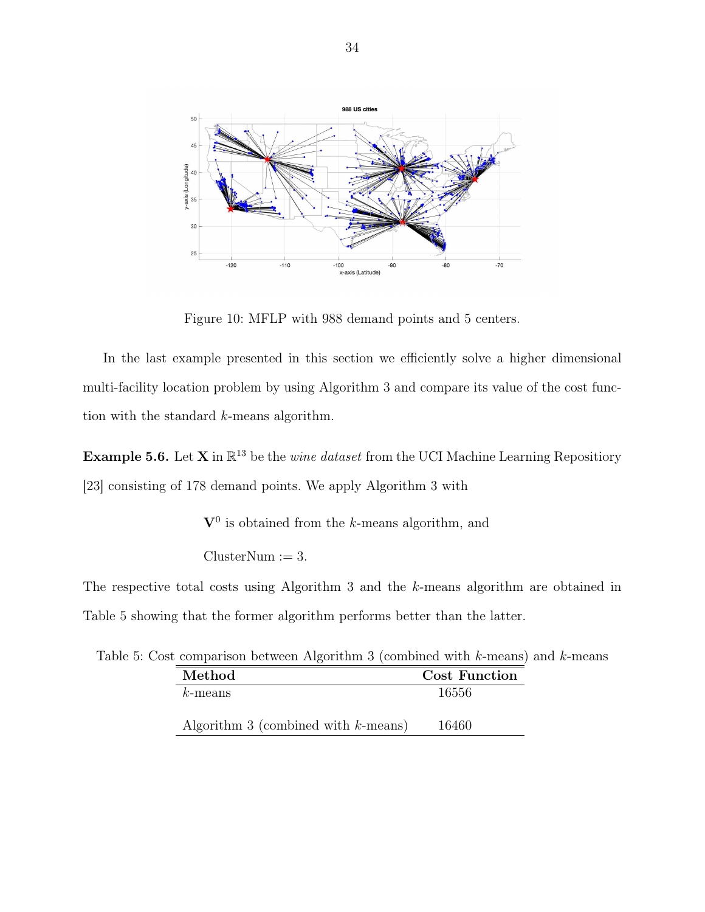

Figure 10: MFLP with 988 demand points and 5 centers.

In the last example presented in this section we efficiently solve a higher dimensional multi-facility location problem by using Algorithm 3 and compare its value of the cost function with the standard k-means algorithm.

**Example 5.6.** Let **X** in  $\mathbb{R}^{13}$  be the *wine dataset* from the UCI Machine Learning Repositiory [23] consisting of 178 demand points. We apply Algorithm 3 with

 $V^0$  is obtained from the k-means algorithm, and

 $ClusterNum := 3.$ 

The respective total costs using Algorithm 3 and the k-means algorithm are obtained in Table 5 showing that the former algorithm performs better than the latter.

Table 5: Cost comparison between Algorithm 3 (combined with k-means) and k-means

| Method                                 | <b>Cost Function</b> |
|----------------------------------------|----------------------|
| $k$ -means                             | 16556                |
| Algorithm 3 (combined with $k$ -means) | 16460                |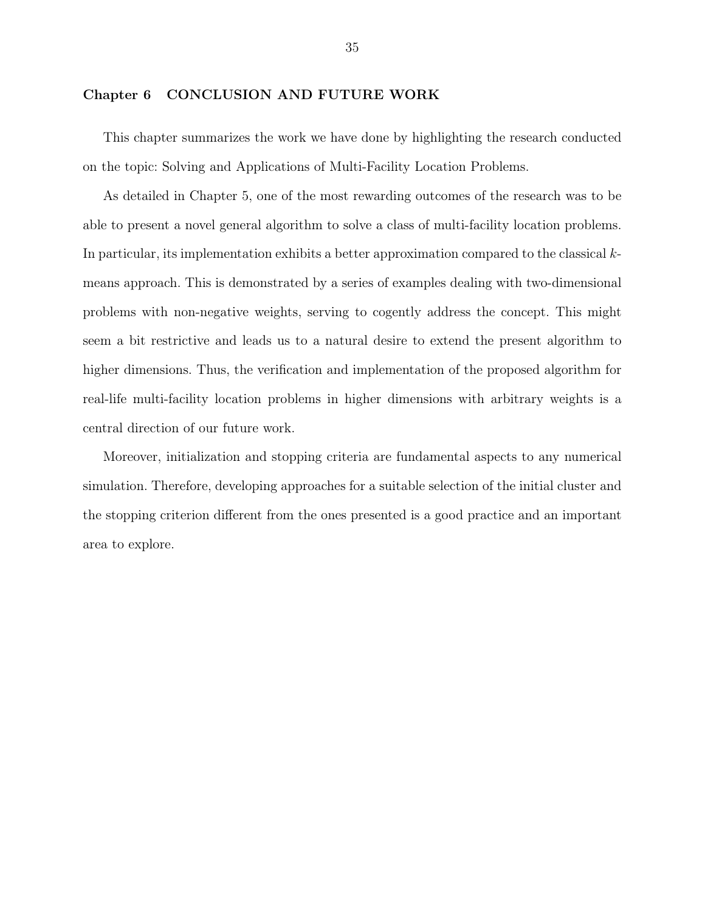#### Chapter 6 CONCLUSION AND FUTURE WORK

This chapter summarizes the work we have done by highlighting the research conducted on the topic: Solving and Applications of Multi-Facility Location Problems.

As detailed in Chapter 5, one of the most rewarding outcomes of the research was to be able to present a novel general algorithm to solve a class of multi-facility location problems. In particular, its implementation exhibits a better approximation compared to the classical kmeans approach. This is demonstrated by a series of examples dealing with two-dimensional problems with non-negative weights, serving to cogently address the concept. This might seem a bit restrictive and leads us to a natural desire to extend the present algorithm to higher dimensions. Thus, the verification and implementation of the proposed algorithm for real-life multi-facility location problems in higher dimensions with arbitrary weights is a central direction of our future work.

Moreover, initialization and stopping criteria are fundamental aspects to any numerical simulation. Therefore, developing approaches for a suitable selection of the initial cluster and the stopping criterion different from the ones presented is a good practice and an important area to explore.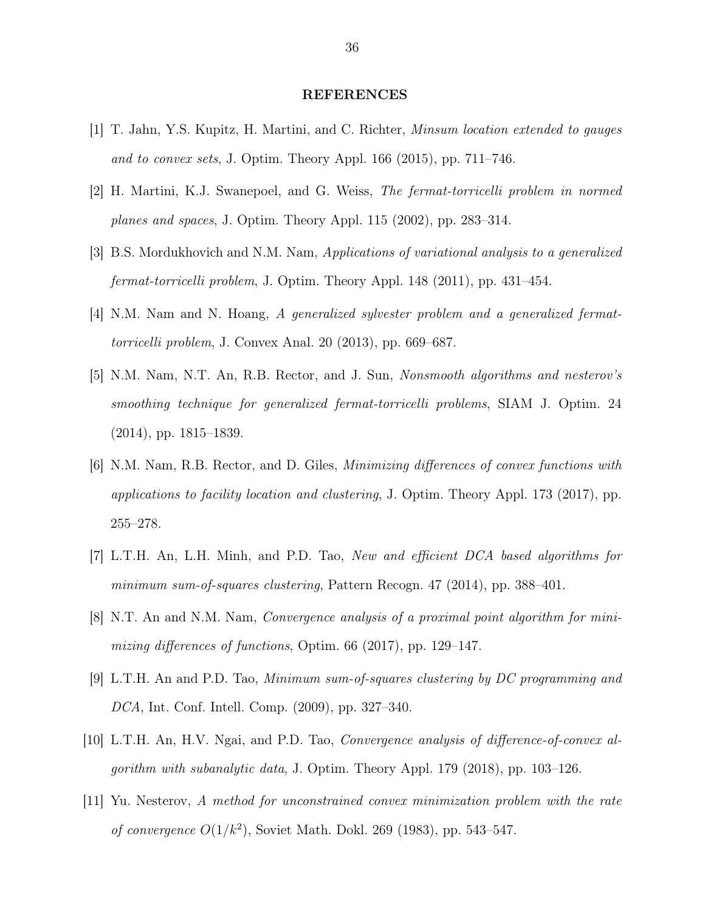#### REFERENCES

- [1] T. Jahn, Y.S. Kupitz, H. Martini, and C. Richter, Minsum location extended to gauges and to convex sets, J. Optim. Theory Appl. 166 (2015), pp. 711–746.
- [2] H. Martini, K.J. Swanepoel, and G. Weiss, The fermat-torricelli problem in normed planes and spaces, J. Optim. Theory Appl. 115 (2002), pp. 283–314.
- [3] B.S. Mordukhovich and N.M. Nam, Applications of variational analysis to a generalized fermat-torricelli problem, J. Optim. Theory Appl. 148 (2011), pp. 431–454.
- [4] N.M. Nam and N. Hoang, A generalized sylvester problem and a generalized fermattorricelli problem, J. Convex Anal. 20 (2013), pp. 669–687.
- [5] N.M. Nam, N.T. An, R.B. Rector, and J. Sun, Nonsmooth algorithms and nesterov's smoothing technique for generalized fermat-torricelli problems, SIAM J. Optim. 24 (2014), pp. 1815–1839.
- [6] N.M. Nam, R.B. Rector, and D. Giles, Minimizing differences of convex functions with applications to facility location and clustering, J. Optim. Theory Appl. 173 (2017), pp. 255–278.
- [7] L.T.H. An, L.H. Minh, and P.D. Tao, New and efficient DCA based algorithms for minimum sum-of-squares clustering, Pattern Recogn. 47 (2014), pp. 388–401.
- [8] N.T. An and N.M. Nam, Convergence analysis of a proximal point algorithm for minimizing differences of functions, Optim. 66 (2017), pp. 129–147.
- [9] L.T.H. An and P.D. Tao, Minimum sum-of-squares clustering by DC programming and DCA, Int. Conf. Intell. Comp. (2009), pp. 327–340.
- [10] L.T.H. An, H.V. Ngai, and P.D. Tao, Convergence analysis of difference-of-convex algorithm with subanalytic data, J. Optim. Theory Appl. 179 (2018), pp. 103–126.
- [11] Yu. Nesterov, A method for unconstrained convex minimization problem with the rate *of convergence*  $O(1/k^2)$ , Soviet Math. Dokl. 269 (1983), pp. 543–547.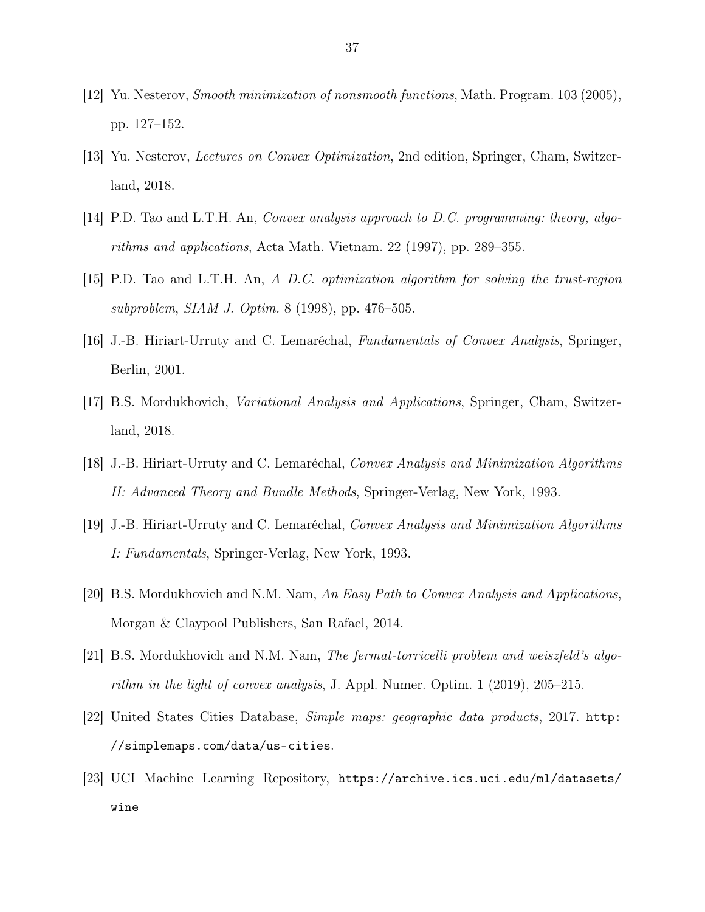- [12] Yu. Nesterov, Smooth minimization of nonsmooth functions, Math. Program. 103 (2005), pp. 127–152.
- [13] Yu. Nesterov, Lectures on Convex Optimization, 2nd edition, Springer, Cham, Switzerland, 2018.
- [14] P.D. Tao and L.T.H. An, Convex analysis approach to D.C. programming: theory, algorithms and applications, Acta Math. Vietnam. 22 (1997), pp. 289–355.
- [15] P.D. Tao and L.T.H. An, A D.C. optimization algorithm for solving the trust-region subproblem, SIAM J. Optim. 8 (1998), pp. 476–505.
- [16] J.-B. Hiriart-Urruty and C. Lemaréchal, Fundamentals of Convex Analysis, Springer, Berlin, 2001.
- [17] B.S. Mordukhovich, Variational Analysis and Applications, Springer, Cham, Switzerland, 2018.
- [18] J.-B. Hiriart-Urruty and C. Lemaréchal, Convex Analysis and Minimization Algorithms II: Advanced Theory and Bundle Methods, Springer-Verlag, New York, 1993.
- [19] J.-B. Hiriart-Urruty and C. Lemaréchal, Convex Analysis and Minimization Algorithms I: Fundamentals, Springer-Verlag, New York, 1993.
- [20] B.S. Mordukhovich and N.M. Nam, An Easy Path to Convex Analysis and Applications, Morgan & Claypool Publishers, San Rafael, 2014.
- [21] B.S. Mordukhovich and N.M. Nam, The fermat-torricelli problem and weiszfeld's algorithm in the light of convex analysis, J. Appl. Numer. Optim. 1 (2019), 205–215.
- [22] United States Cities Database, Simple maps: geographic data products, 2017. http: //simplemaps.com/data/us-cities.
- [23] UCI Machine Learning Repository, https://archive.ics.uci.edu/ml/datasets/ wine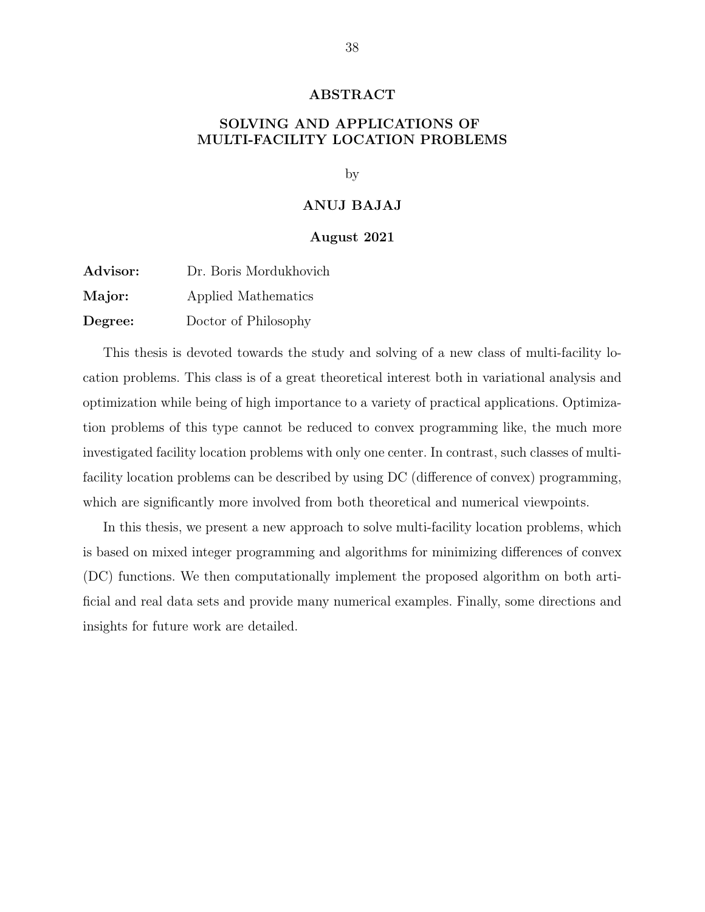#### ABSTRACT

# SOLVING AND APPLICATIONS OF MULTI-FACILITY LOCATION PROBLEMS

by

#### ANUJ BAJAJ

#### August 2021

| Advisor: | Dr. Boris Mordukhovich |
|----------|------------------------|
| Major:   | Applied Mathematics    |
| Degree:  | Doctor of Philosophy   |

This thesis is devoted towards the study and solving of a new class of multi-facility location problems. This class is of a great theoretical interest both in variational analysis and optimization while being of high importance to a variety of practical applications. Optimization problems of this type cannot be reduced to convex programming like, the much more investigated facility location problems with only one center. In contrast, such classes of multifacility location problems can be described by using DC (difference of convex) programming, which are significantly more involved from both theoretical and numerical viewpoints.

In this thesis, we present a new approach to solve multi-facility location problems, which is based on mixed integer programming and algorithms for minimizing differences of convex (DC) functions. We then computationally implement the proposed algorithm on both artificial and real data sets and provide many numerical examples. Finally, some directions and insights for future work are detailed.